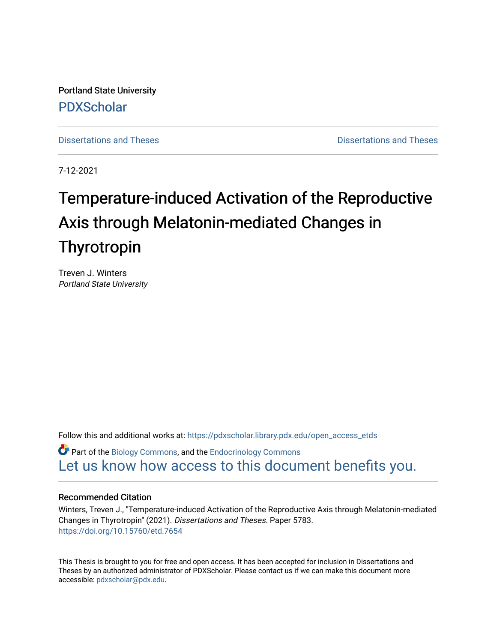Portland State University [PDXScholar](https://pdxscholar.library.pdx.edu/)

[Dissertations and Theses](https://pdxscholar.library.pdx.edu/open_access_etds) **Distributions** and Theses **Distributions** and Theses

7-12-2021

# Temperature-induced Activation of the Reproductive Axis through Melatonin-mediated Changes in Thyrotropin

Treven J. Winters Portland State University

Follow this and additional works at: [https://pdxscholar.library.pdx.edu/open\\_access\\_etds](https://pdxscholar.library.pdx.edu/open_access_etds?utm_source=pdxscholar.library.pdx.edu%2Fopen_access_etds%2F5783&utm_medium=PDF&utm_campaign=PDFCoverPages)

**C** Part of the [Biology Commons,](http://network.bepress.com/hgg/discipline/41?utm_source=pdxscholar.library.pdx.edu%2Fopen_access_etds%2F5783&utm_medium=PDF&utm_campaign=PDFCoverPages) and the Endocrinology Commons [Let us know how access to this document benefits you.](http://library.pdx.edu/services/pdxscholar-services/pdxscholar-feedback/) 

#### Recommended Citation

Winters, Treven J., "Temperature-induced Activation of the Reproductive Axis through Melatonin-mediated Changes in Thyrotropin" (2021). Dissertations and Theses. Paper 5783. <https://doi.org/10.15760/etd.7654>

This Thesis is brought to you for free and open access. It has been accepted for inclusion in Dissertations and Theses by an authorized administrator of PDXScholar. Please contact us if we can make this document more accessible: [pdxscholar@pdx.edu.](mailto:pdxscholar@pdx.edu)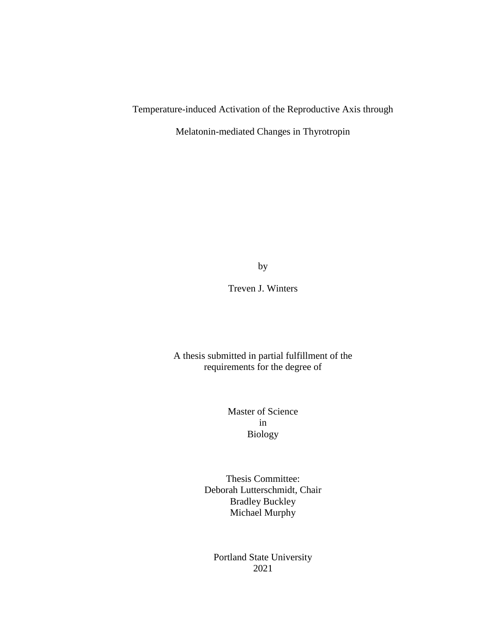### Temperature-induced Activation of the Reproductive Axis through

Melatonin-mediated Changes in Thyrotropin

by

Treven J. Winters

A thesis submitted in partial fulfillment of the requirements for the degree of

> Master of Science in Biology

Thesis Committee: Deborah Lutterschmidt, Chair Bradley Buckley Michael Murphy

Portland State University 2021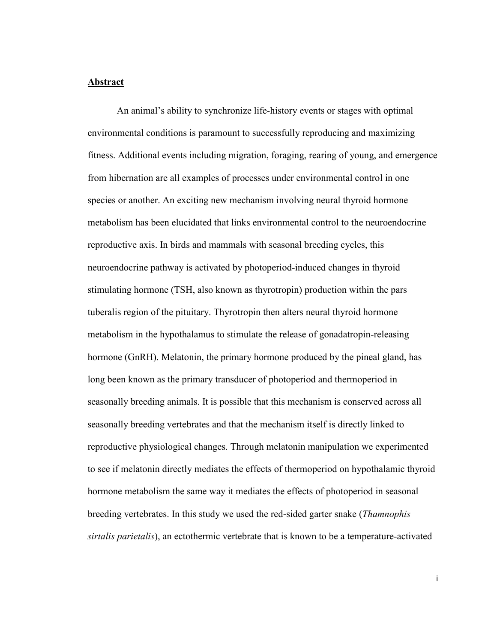#### **Abstract**

An animal's ability to synchronize life-history events or stages with optimal environmental conditions is paramount to successfully reproducing and maximizing fitness. Additional events including migration, foraging, rearing of young, and emergence from hibernation are all examples of processes under environmental control in one species or another. An exciting new mechanism involving neural thyroid hormone metabolism has been elucidated that links environmental control to the neuroendocrine reproductive axis. In birds and mammals with seasonal breeding cycles, this neuroendocrine pathway is activated by photoperiod-induced changes in thyroid stimulating hormone (TSH, also known as thyrotropin) production within the pars tuberalis region of the pituitary. Thyrotropin then alters neural thyroid hormone metabolism in the hypothalamus to stimulate the release of gonadatropin-releasing hormone (GnRH). Melatonin, the primary hormone produced by the pineal gland, has long been known as the primary transducer of photoperiod and thermoperiod in seasonally breeding animals. It is possible that this mechanism is conserved across all seasonally breeding vertebrates and that the mechanism itself is directly linked to reproductive physiological changes. Through melatonin manipulation we experimented to see if melatonin directly mediates the effects of thermoperiod on hypothalamic thyroid hormone metabolism the same way it mediates the effects of photoperiod in seasonal breeding vertebrates. In this study we used the red-sided garter snake (*Thamnophis sirtalis parietalis*), an ectothermic vertebrate that is known to be a temperature-activated

i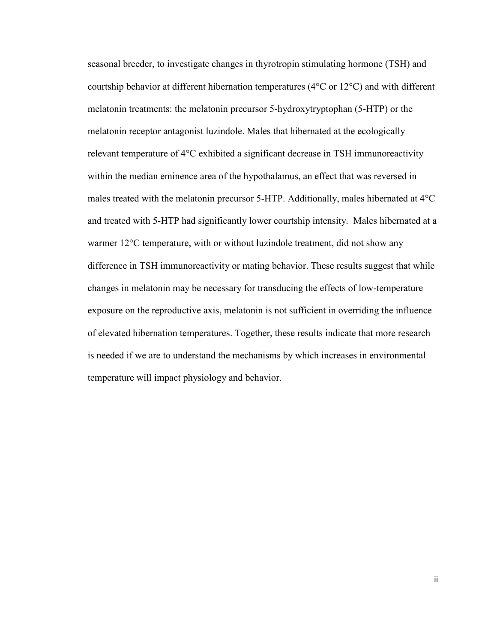seasonal breeder, to investigate changes in thyrotropin stimulating hormone (TSH) and courtship behavior at different hibernation temperatures (4°C or 12°C) and with different melatonin treatments: the melatonin precursor 5-hydroxytryptophan (5-HTP) or the melatonin receptor antagonist luzindole. Males that hibernated at the ecologically relevant temperature of 4°C exhibited a significant decrease in TSH immunoreactivity within the median eminence area of the hypothalamus, an effect that was reversed in males treated with the melatonin precursor 5-HTP. Additionally, males hibernated at 4°C and treated with 5-HTP had significantly lower courtship intensity. Males hibernated at a warmer 12°C temperature, with or without luzindole treatment, did not show any difference in TSH immunoreactivity or mating behavior. These results suggest that while changes in melatonin may be necessary for transducing the effects of low-temperature exposure on the reproductive axis, melatonin is not sufficient in overriding the influence of elevated hibernation temperatures. Together, these results indicate that more research is needed if we are to understand the mechanisms by which increases in environmental temperature will impact physiology and behavior.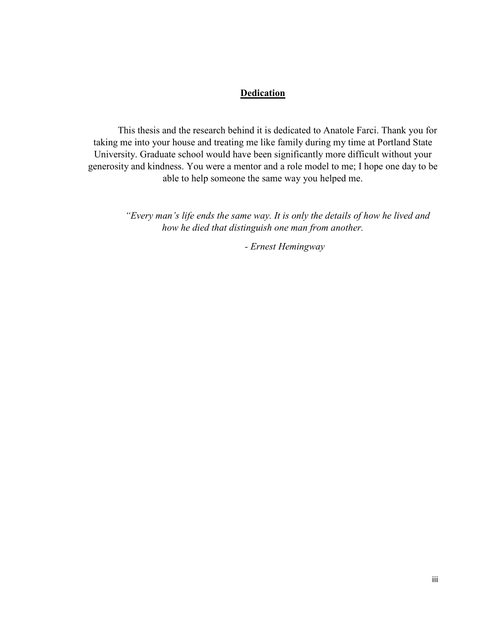#### **Dedication**

This thesis and the research behind it is dedicated to Anatole Farci. Thank you for taking me into your house and treating me like family during my time at Portland State University. Graduate school would have been significantly more difficult without your generosity and kindness. You were a mentor and a role model to me; I hope one day to be able to help someone the same way you helped me.

> *"Every man's life ends the same way. It is only the details of how he lived and how he died that distinguish one man from another.*

> > *- Ernest Hemingway*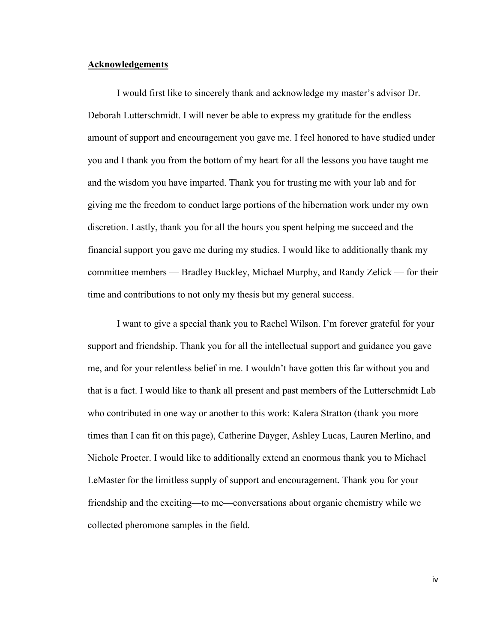#### **Acknowledgements**

I would first like to sincerely thank and acknowledge my master's advisor Dr. Deborah Lutterschmidt. I will never be able to express my gratitude for the endless amount of support and encouragement you gave me. I feel honored to have studied under you and I thank you from the bottom of my heart for all the lessons you have taught me and the wisdom you have imparted. Thank you for trusting me with your lab and for giving me the freedom to conduct large portions of the hibernation work under my own discretion. Lastly, thank you for all the hours you spent helping me succeed and the financial support you gave me during my studies. I would like to additionally thank my committee members — Bradley Buckley, Michael Murphy, and Randy Zelick — for their time and contributions to not only my thesis but my general success.

I want to give a special thank you to Rachel Wilson. I'm forever grateful for your support and friendship. Thank you for all the intellectual support and guidance you gave me, and for your relentless belief in me. I wouldn't have gotten this far without you and that is a fact. I would like to thank all present and past members of the Lutterschmidt Lab who contributed in one way or another to this work: Kalera Stratton (thank you more times than I can fit on this page), Catherine Dayger, Ashley Lucas, Lauren Merlino, and Nichole Procter. I would like to additionally extend an enormous thank you to Michael LeMaster for the limitless supply of support and encouragement. Thank you for your friendship and the exciting—to me—conversations about organic chemistry while we collected pheromone samples in the field.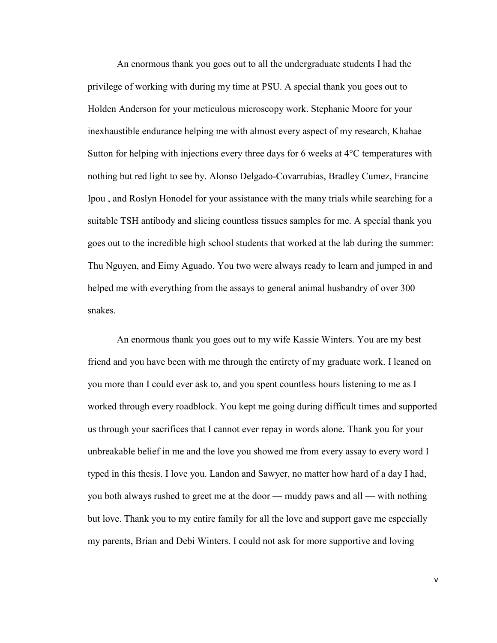An enormous thank you goes out to all the undergraduate students I had the privilege of working with during my time at PSU. A special thank you goes out to Holden Anderson for your meticulous microscopy work. Stephanie Moore for your inexhaustible endurance helping me with almost every aspect of my research, Khahae Sutton for helping with injections every three days for 6 weeks at 4°C temperatures with nothing but red light to see by. Alonso Delgado-Covarrubias, Bradley Cumez, Francine Ipou , and Roslyn Honodel for your assistance with the many trials while searching for a suitable TSH antibody and slicing countless tissues samples for me. A special thank you goes out to the incredible high school students that worked at the lab during the summer: Thu Nguyen, and Eimy Aguado. You two were always ready to learn and jumped in and helped me with everything from the assays to general animal husbandry of over 300 snakes.

An enormous thank you goes out to my wife Kassie Winters. You are my best friend and you have been with me through the entirety of my graduate work. I leaned on you more than I could ever ask to, and you spent countless hours listening to me as I worked through every roadblock. You kept me going during difficult times and supported us through your sacrifices that I cannot ever repay in words alone. Thank you for your unbreakable belief in me and the love you showed me from every assay to every word I typed in this thesis. I love you. Landon and Sawyer, no matter how hard of a day I had, you both always rushed to greet me at the door — muddy paws and all — with nothing but love. Thank you to my entire family for all the love and support gave me especially my parents, Brian and Debi Winters. I could not ask for more supportive and loving

v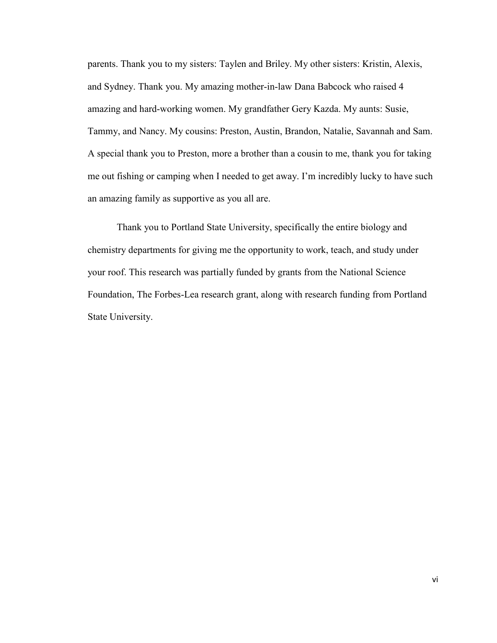parents. Thank you to my sisters: Taylen and Briley. My other sisters: Kristin, Alexis, and Sydney. Thank you. My amazing mother-in-law Dana Babcock who raised 4 amazing and hard-working women. My grandfather Gery Kazda. My aunts: Susie, Tammy, and Nancy. My cousins: Preston, Austin, Brandon, Natalie, Savannah and Sam. A special thank you to Preston, more a brother than a cousin to me, thank you for taking me out fishing or camping when I needed to get away. I'm incredibly lucky to have such an amazing family as supportive as you all are.

Thank you to Portland State University, specifically the entire biology and chemistry departments for giving me the opportunity to work, teach, and study under your roof. This research was partially funded by grants from the National Science Foundation, The Forbes-Lea research grant, along with research funding from Portland State University.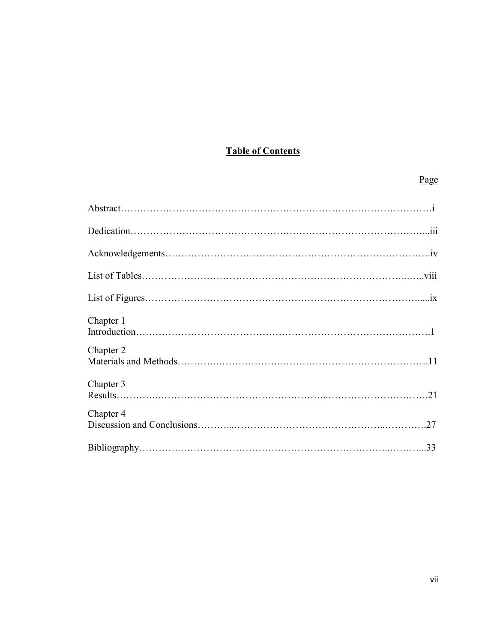### **Table of Contents**

# Page

| Chapter 1 |     |
|-----------|-----|
| Chapter 2 |     |
| Chapter 3 |     |
| Chapter 4 | .27 |
|           |     |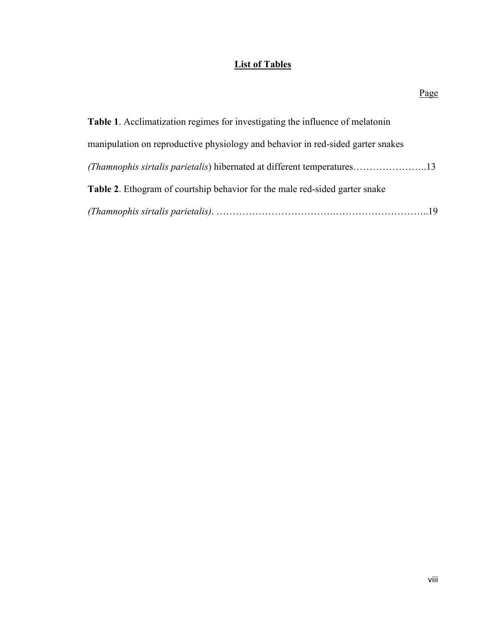### **List of Tables**

|                                                                                      | <u>Page</u> |
|--------------------------------------------------------------------------------------|-------------|
| <b>Table 1.</b> Acclimatization regimes for investigating the influence of melatonin |             |
| manipulation on reproductive physiology and behavior in red-sided garter snakes      |             |

| <b>Table 2.</b> Ethogram of courtship behavior for the male red-sided garter snake |
|------------------------------------------------------------------------------------|
|                                                                                    |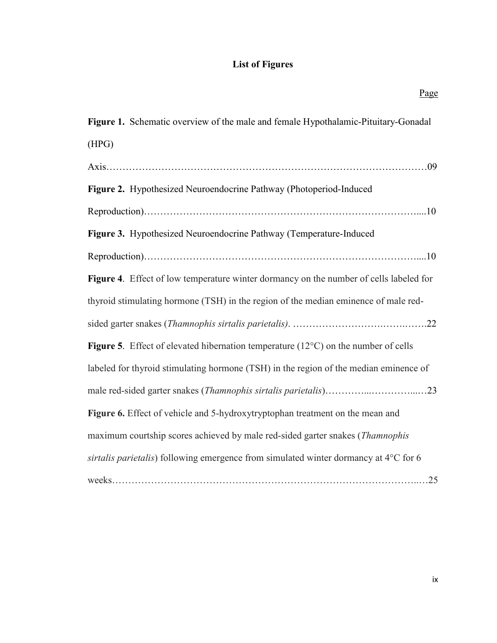# **List of Figures**

| Page                                                                                                 |
|------------------------------------------------------------------------------------------------------|
| Figure 1. Schematic overview of the male and female Hypothalamic-Pituitary-Gonadal                   |
| (HPG)                                                                                                |
|                                                                                                      |
| Figure 2. Hypothesized Neuroendocrine Pathway (Photoperiod-Induced                                   |
|                                                                                                      |
| Figure 3. Hypothesized Neuroendocrine Pathway (Temperature-Induced                                   |
|                                                                                                      |
| Figure 4. Effect of low temperature winter dormancy on the number of cells labeled for               |
| thyroid stimulating hormone (TSH) in the region of the median eminence of male red-                  |
|                                                                                                      |
| <b>Figure 5.</b> Effect of elevated hibernation temperature ( $12^{\circ}$ C) on the number of cells |
| labeled for thyroid stimulating hormone (TSH) in the region of the median eminence of                |
|                                                                                                      |
| Figure 6. Effect of vehicle and 5-hydroxytryptophan treatment on the mean and                        |
| maximum courtship scores achieved by male red-sided garter snakes (Thamnophis                        |
| sirtalis parietalis) following emergence from simulated winter dormancy at 4°C for 6                 |
|                                                                                                      |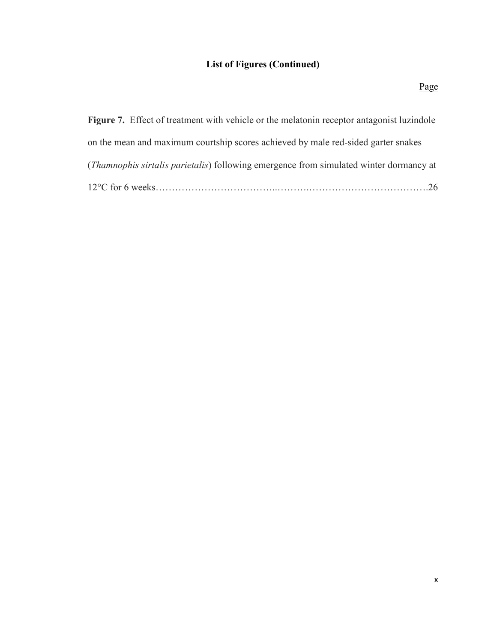# **List of Figures (Continued)**

| <b>Figure 7.</b> Effect of treatment with vehicle or the melaton in receptor antagonist luzindole |
|---------------------------------------------------------------------------------------------------|
| on the mean and maximum courtship scores achieved by male red-sided garter snakes                 |
| ( <i>Thamnophis sirtalis parietalis</i> ) following emergence from simulated winter dormancy at   |
|                                                                                                   |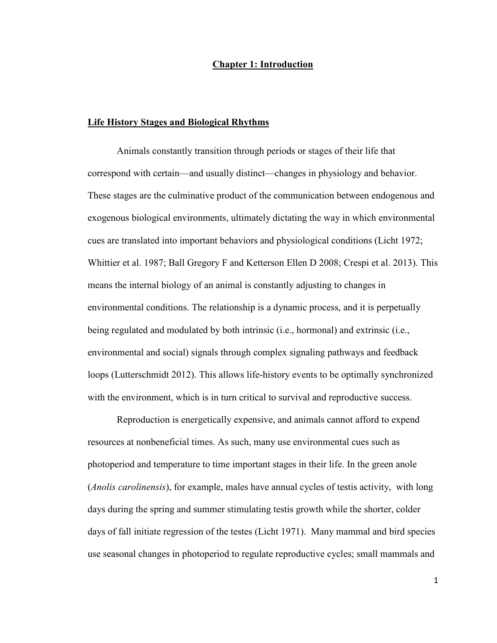#### **Chapter 1: Introduction**

#### **Life History Stages and Biological Rhythms**

Animals constantly transition through periods or stages of their life that correspond with certain—and usually distinct—changes in physiology and behavior. These stages are the culminative product of the communication between endogenous and exogenous biological environments, ultimately dictating the way in which environmental cues are translated into important behaviors and physiological conditions (Licht 1972; Whittier et al. 1987; Ball Gregory F and Ketterson Ellen D 2008; Crespi et al. 2013). This means the internal biology of an animal is constantly adjusting to changes in environmental conditions. The relationship is a dynamic process, and it is perpetually being regulated and modulated by both intrinsic (i.e., hormonal) and extrinsic (i.e., environmental and social) signals through complex signaling pathways and feedback loops (Lutterschmidt 2012). This allows life-history events to be optimally synchronized with the environment, which is in turn critical to survival and reproductive success.

Reproduction is energetically expensive, and animals cannot afford to expend resources at nonbeneficial times. As such, many use environmental cues such as photoperiod and temperature to time important stages in their life. In the green anole (*Anolis carolinensis*), for example, males have annual cycles of testis activity, with long days during the spring and summer stimulating testis growth while the shorter, colder days of fall initiate regression of the testes (Licht 1971). Many mammal and bird species use seasonal changes in photoperiod to regulate reproductive cycles; small mammals and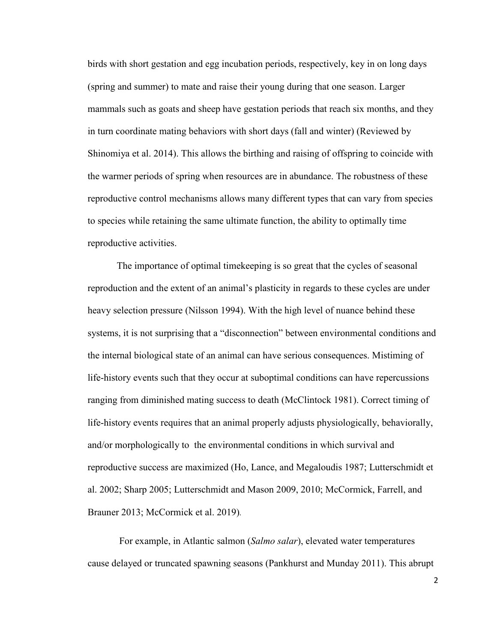birds with short gestation and egg incubation periods, respectively, key in on long days (spring and summer) to mate and raise their young during that one season. Larger mammals such as goats and sheep have gestation periods that reach six months, and they in turn coordinate mating behaviors with short days (fall and winter) (Reviewed by Shinomiya et al. 2014). This allows the birthing and raising of offspring to coincide with the warmer periods of spring when resources are in abundance. The robustness of these reproductive control mechanisms allows many different types that can vary from species to species while retaining the same ultimate function, the ability to optimally time reproductive activities.

The importance of optimal timekeeping is so great that the cycles of seasonal reproduction and the extent of an animal's plasticity in regards to these cycles are under heavy selection pressure (Nilsson 1994). With the high level of nuance behind these systems, it is not surprising that a "disconnection" between environmental conditions and the internal biological state of an animal can have serious consequences. Mistiming of life-history events such that they occur at suboptimal conditions can have repercussions ranging from diminished mating success to death (McClintock 1981). Correct timing of life-history events requires that an animal properly adjusts physiologically, behaviorally, and/or morphologically to the environmental conditions in which survival and reproductive success are maximized (Ho, Lance, and Megaloudis 1987; Lutterschmidt et al. 2002; Sharp 2005; Lutterschmidt and Mason 2009, 2010; McCormick, Farrell, and Brauner 2013; McCormick et al. 2019)*.* 

For example, in Atlantic salmon (*Salmo salar*), elevated water temperatures cause delayed or truncated spawning seasons (Pankhurst and Munday 2011). This abrupt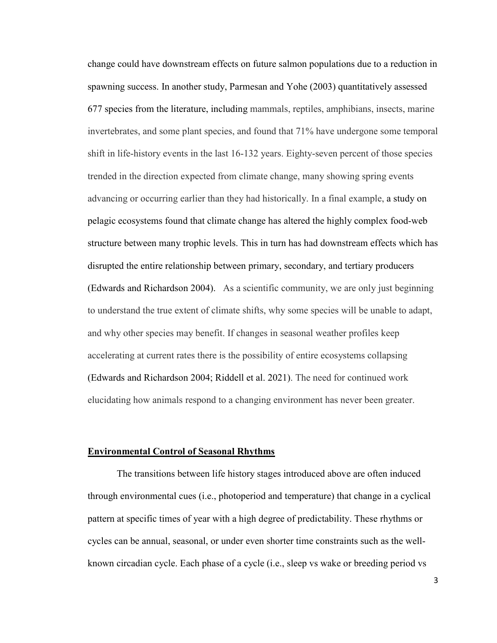change could have downstream effects on future salmon populations due to a reduction in spawning success. In another study, Parmesan and Yohe (2003) quantitatively assessed 677 species from the literature, including mammals, reptiles, amphibians, insects, marine invertebrates, and some plant species, and found that 71% have undergone some temporal shift in life-history events in the last 16-132 years. Eighty-seven percent of those species trended in the direction expected from climate change, many showing spring events advancing or occurring earlier than they had historically. In a final example, a study on pelagic ecosystems found that climate change has altered the highly complex food-web structure between many trophic levels. This in turn has had downstream effects which has disrupted the entire relationship between primary, secondary, and tertiary producers (Edwards and Richardson 2004). As a scientific community, we are only just beginning to understand the true extent of climate shifts, why some species will be unable to adapt, and why other species may benefit. If changes in seasonal weather profiles keep accelerating at current rates there is the possibility of entire ecosystems collapsing (Edwards and Richardson 2004; Riddell et al. 2021). The need for continued work elucidating how animals respond to a changing environment has never been greater.

#### **Environmental Control of Seasonal Rhythms**

The transitions between life history stages introduced above are often induced through environmental cues (i.e., photoperiod and temperature) that change in a cyclical pattern at specific times of year with a high degree of predictability. These rhythms or cycles can be annual, seasonal, or under even shorter time constraints such as the wellknown circadian cycle. Each phase of a cycle (i.e., sleep vs wake or breeding period vs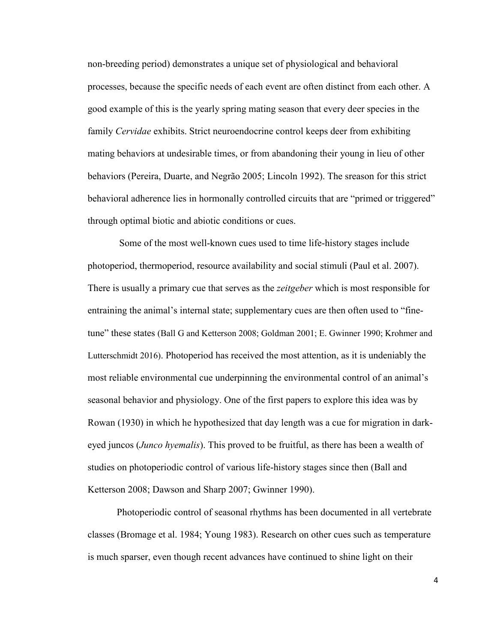non-breeding period) demonstrates a unique set of physiological and behavioral processes, because the specific needs of each event are often distinct from each other. A good example of this is the yearly spring mating season that every deer species in the family *Cervidae* exhibits. Strict neuroendocrine control keeps deer from exhibiting mating behaviors at undesirable times, or from abandoning their young in lieu of other behaviors (Pereira, Duarte, and Negrão 2005; Lincoln 1992). The sreason for this strict behavioral adherence lies in hormonally controlled circuits that are "primed or triggered" through optimal biotic and abiotic conditions or cues.

 Some of the most well-known cues used to time life-history stages include photoperiod, thermoperiod, resource availability and social stimuli (Paul et al. 2007). There is usually a primary cue that serves as the *zeitgeber* which is most responsible for entraining the animal's internal state; supplementary cues are then often used to "finetune" these states (Ball G and Ketterson 2008; Goldman 2001; E. Gwinner 1990; Krohmer and Lutterschmidt 2016). Photoperiod has received the most attention, as it is undeniably the most reliable environmental cue underpinning the environmental control of an animal's seasonal behavior and physiology. One of the first papers to explore this idea was by Rowan (1930) in which he hypothesized that day length was a cue for migration in darkeyed juncos (*Junco hyemalis*). This proved to be fruitful, as there has been a wealth of studies on photoperiodic control of various life-history stages since then (Ball and Ketterson 2008; Dawson and Sharp 2007; Gwinner 1990).

Photoperiodic control of seasonal rhythms has been documented in all vertebrate classes (Bromage et al. 1984; Young 1983). Research on other cues such as temperature is much sparser, even though recent advances have continued to shine light on their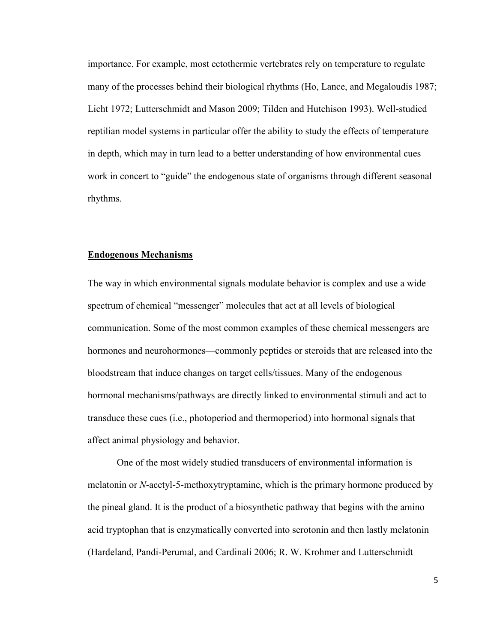importance. For example, most ectothermic vertebrates rely on temperature to regulate many of the processes behind their biological rhythms (Ho, Lance, and Megaloudis 1987; Licht 1972; Lutterschmidt and Mason 2009; Tilden and Hutchison 1993). Well-studied reptilian model systems in particular offer the ability to study the effects of temperature in depth, which may in turn lead to a better understanding of how environmental cues work in concert to "guide" the endogenous state of organisms through different seasonal rhythms.

#### **Endogenous Mechanisms**

The way in which environmental signals modulate behavior is complex and use a wide spectrum of chemical "messenger" molecules that act at all levels of biological communication. Some of the most common examples of these chemical messengers are hormones and neurohormones—commonly peptides or steroids that are released into the bloodstream that induce changes on target cells/tissues. Many of the endogenous hormonal mechanisms/pathways are directly linked to environmental stimuli and act to transduce these cues (i.e., photoperiod and thermoperiod) into hormonal signals that affect animal physiology and behavior.

One of the most widely studied transducers of environmental information is melatonin or *N*-acetyl-5-methoxytryptamine, which is the primary hormone produced by the pineal gland. It is the product of a biosynthetic pathway that begins with the amino acid tryptophan that is enzymatically converted into serotonin and then lastly melatonin (Hardeland, Pandi-Perumal, and Cardinali 2006; R. W. Krohmer and Lutterschmidt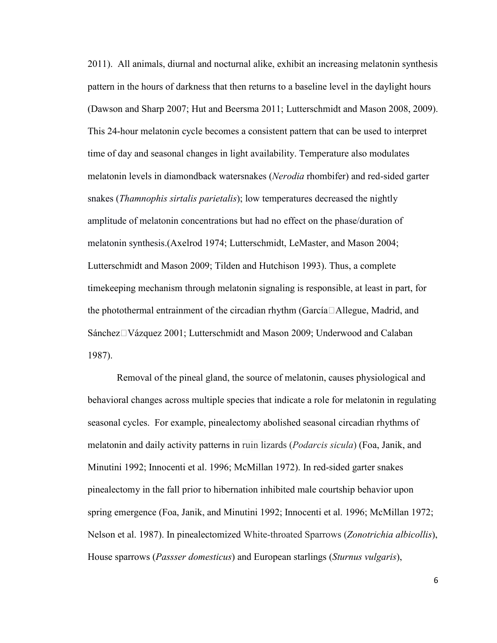2011). All animals, diurnal and nocturnal alike, exhibit an increasing melatonin synthesis pattern in the hours of darkness that then returns to a baseline level in the daylight hours (Dawson and Sharp 2007; Hut and Beersma 2011; Lutterschmidt and Mason 2008, 2009). This 24-hour melatonin cycle becomes a consistent pattern that can be used to interpret time of day and seasonal changes in light availability. Temperature also modulates melatonin levels in diamondback watersnakes (*Nerodia* rhombifer) and red-sided garter snakes (*Thamnophis sirtalis parietalis*); low temperatures decreased the nightly amplitude of melatonin concentrations but had no effect on the phase/duration of melatonin synthesis.(Axelrod 1974; Lutterschmidt, LeMaster, and Mason 2004; Lutterschmidt and Mason 2009; Tilden and Hutchison 1993). Thus, a complete timekeeping mechanism through melatonin signaling is responsible, at least in part, for the photothermal entrainment of the circadian rhythm (García $\Box$ Allegue, Madrid, and Sánchez□Vázquez 2001; Lutterschmidt and Mason 2009; Underwood and Calaban 1987).

Removal of the pineal gland, the source of melatonin, causes physiological and behavioral changes across multiple species that indicate a role for melatonin in regulating seasonal cycles. For example, pinealectomy abolished seasonal circadian rhythms of melatonin and daily activity patterns in ruin lizards (*Podarcis sicula*) (Foa, Janik, and Minutini 1992; Innocenti et al. 1996; McMillan 1972). In red-sided garter snakes pinealectomy in the fall prior to hibernation inhibited male courtship behavior upon spring emergence (Foa, Janik, and Minutini 1992; Innocenti et al. 1996; McMillan 1972; Nelson et al. 1987). In pinealectomized White-throated Sparrows (*Zonotrichia albicollis*), House sparrows (*Passser domesticus*) and European starlings (*Sturnus vulgaris*),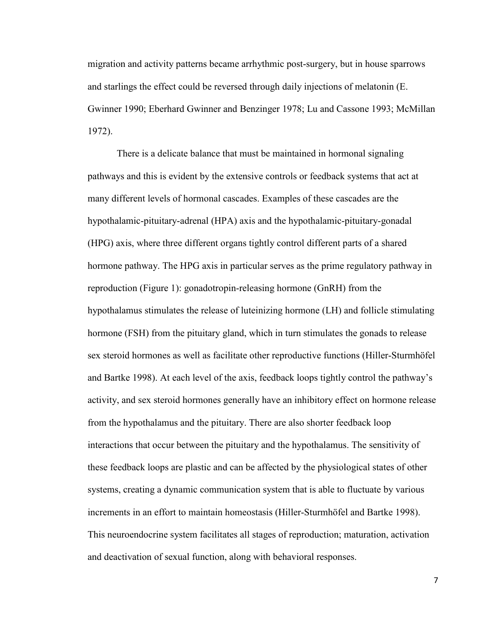migration and activity patterns became arrhythmic post-surgery, but in house sparrows and starlings the effect could be reversed through daily injections of melatonin (E. Gwinner 1990; Eberhard Gwinner and Benzinger 1978; Lu and Cassone 1993; McMillan 1972).

There is a delicate balance that must be maintained in hormonal signaling pathways and this is evident by the extensive controls or feedback systems that act at many different levels of hormonal cascades. Examples of these cascades are the hypothalamic-pituitary-adrenal (HPA) axis and the hypothalamic-pituitary-gonadal (HPG) axis, where three different organs tightly control different parts of a shared hormone pathway. The HPG axis in particular serves as the prime regulatory pathway in reproduction (Figure 1): gonadotropin-releasing hormone (GnRH) from the hypothalamus stimulates the release of luteinizing hormone (LH) and follicle stimulating hormone (FSH) from the pituitary gland, which in turn stimulates the gonads to release sex steroid hormones as well as facilitate other reproductive functions (Hiller-Sturmhöfel and Bartke 1998). At each level of the axis, feedback loops tightly control the pathway's activity, and sex steroid hormones generally have an inhibitory effect on hormone release from the hypothalamus and the pituitary. There are also shorter feedback loop interactions that occur between the pituitary and the hypothalamus. The sensitivity of these feedback loops are plastic and can be affected by the physiological states of other systems, creating a dynamic communication system that is able to fluctuate by various increments in an effort to maintain homeostasis (Hiller-Sturmhöfel and Bartke 1998). This neuroendocrine system facilitates all stages of reproduction; maturation, activation and deactivation of sexual function, along with behavioral responses.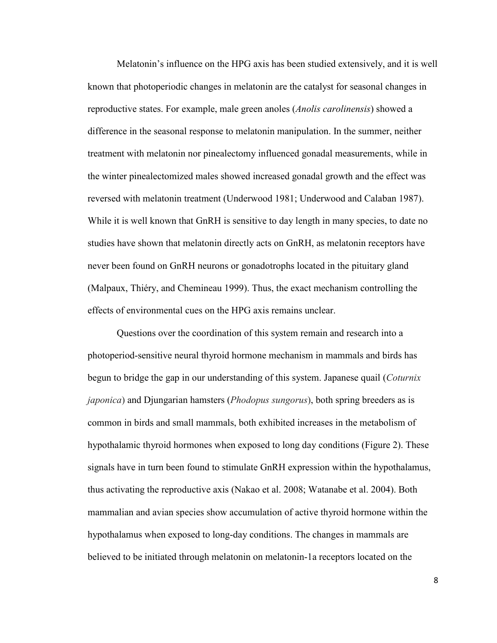Melatonin's influence on the HPG axis has been studied extensively, and it is well known that photoperiodic changes in melatonin are the catalyst for seasonal changes in reproductive states. For example, male green anoles (*Anolis carolinensis*) showed a difference in the seasonal response to melatonin manipulation. In the summer, neither treatment with melatonin nor pinealectomy influenced gonadal measurements, while in the winter pinealectomized males showed increased gonadal growth and the effect was reversed with melatonin treatment (Underwood 1981; Underwood and Calaban 1987). While it is well known that GnRH is sensitive to day length in many species, to date no studies have shown that melatonin directly acts on GnRH, as melatonin receptors have never been found on GnRH neurons or gonadotrophs located in the pituitary gland (Malpaux, Thiéry, and Chemineau 1999). Thus, the exact mechanism controlling the effects of environmental cues on the HPG axis remains unclear.

Questions over the coordination of this system remain and research into a photoperiod-sensitive neural thyroid hormone mechanism in mammals and birds has begun to bridge the gap in our understanding of this system. Japanese quail (*Coturnix japonica*) and Djungarian hamsters (*Phodopus sungorus*), both spring breeders as is common in birds and small mammals, both exhibited increases in the metabolism of hypothalamic thyroid hormones when exposed to long day conditions (Figure 2). These signals have in turn been found to stimulate GnRH expression within the hypothalamus, thus activating the reproductive axis (Nakao et al. 2008; Watanabe et al. 2004). Both mammalian and avian species show accumulation of active thyroid hormone within the hypothalamus when exposed to long-day conditions. The changes in mammals are believed to be initiated through melatonin on melatonin-1a receptors located on the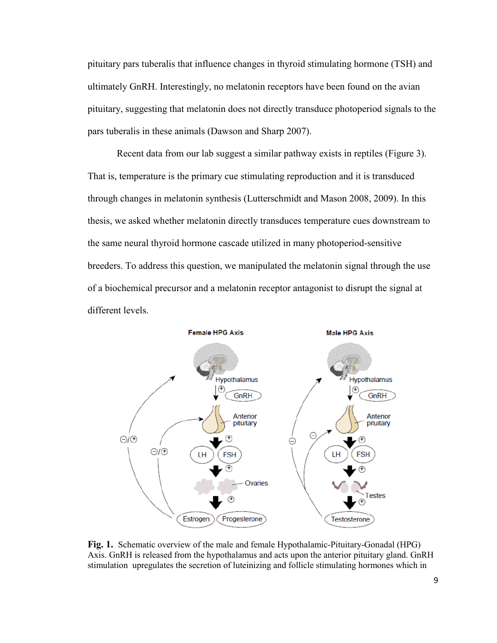pituitary pars tuberalis that influence changes in thyroid stimulating hormone (TSH) and ultimately GnRH. Interestingly, no melatonin receptors have been found on the avian pituitary, suggesting that melatonin does not directly transduce photoperiod signals to the pars tuberalis in these animals (Dawson and Sharp 2007).

Recent data from our lab suggest a similar pathway exists in reptiles (Figure 3). That is, temperature is the primary cue stimulating reproduction and it is transduced through changes in melatonin synthesis (Lutterschmidt and Mason 2008, 2009). In this thesis, we asked whether melatonin directly transduces temperature cues downstream to the same neural thyroid hormone cascade utilized in many photoperiod-sensitive breeders. To address this question, we manipulated the melatonin signal through the use of a biochemical precursor and a melatonin receptor antagonist to disrupt the signal at different levels.



**Fig. 1.** Schematic overview of the male and female Hypothalamic-Pituitary-Gonadal (HPG) Axis. GnRH is released from the hypothalamus and acts upon the anterior pituitary gland. GnRH stimulation upregulates the secretion of luteinizing and follicle stimulating hormones which in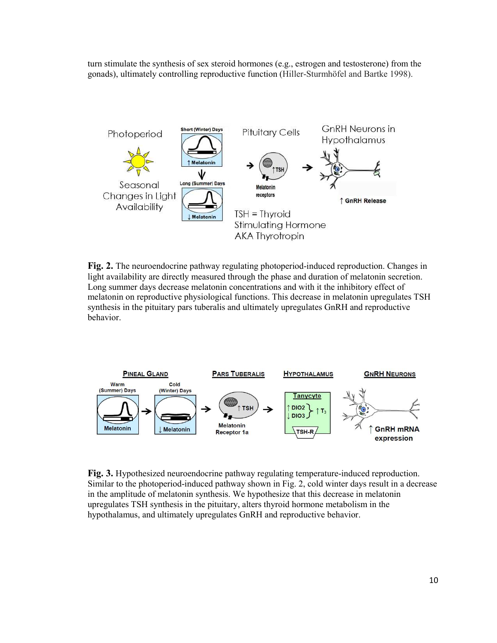turn stimulate the synthesis of sex steroid hormones (e.g., estrogen and testosterone) from the gonads), ultimately controlling reproductive function (Hiller-Sturmhöfel and Bartke 1998).



**Fig. 2.** The neuroendocrine pathway regulating photoperiod-induced reproduction. Changes in light availability are directly measured through the phase and duration of melatonin secretion. Long summer days decrease melatonin concentrations and with it the inhibitory effect of melatonin on reproductive physiological functions. This decrease in melatonin upregulates TSH synthesis in the pituitary pars tuberalis and ultimately upregulates GnRH and reproductive behavior.



**Fig. 3.** Hypothesized neuroendocrine pathway regulating temperature-induced reproduction. Similar to the photoperiod-induced pathway shown in Fig. 2, cold winter days result in a decrease in the amplitude of melatonin synthesis. We hypothesize that this decrease in melatonin upregulates TSH synthesis in the pituitary, alters thyroid hormone metabolism in the hypothalamus, and ultimately upregulates GnRH and reproductive behavior.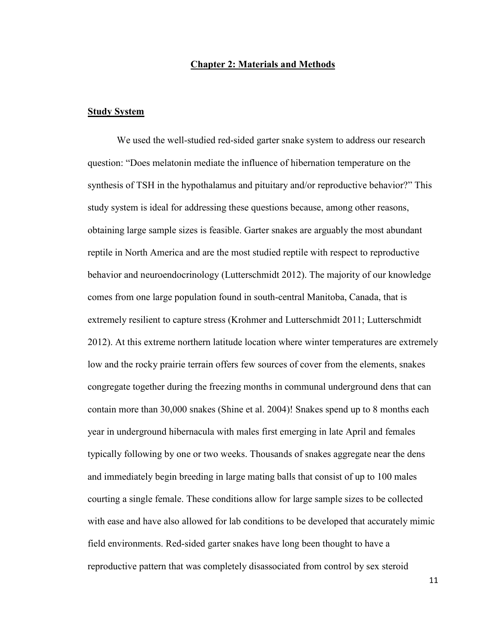#### **Chapter 2: Materials and Methods**

#### **Study System**

We used the well-studied red-sided garter snake system to address our research question: "Does melatonin mediate the influence of hibernation temperature on the synthesis of TSH in the hypothalamus and pituitary and/or reproductive behavior?" This study system is ideal for addressing these questions because, among other reasons, obtaining large sample sizes is feasible. Garter snakes are arguably the most abundant reptile in North America and are the most studied reptile with respect to reproductive behavior and neuroendocrinology (Lutterschmidt 2012). The majority of our knowledge comes from one large population found in south-central Manitoba, Canada, that is extremely resilient to capture stress (Krohmer and Lutterschmidt 2011; Lutterschmidt 2012). At this extreme northern latitude location where winter temperatures are extremely low and the rocky prairie terrain offers few sources of cover from the elements, snakes congregate together during the freezing months in communal underground dens that can contain more than 30,000 snakes (Shine et al. 2004)! Snakes spend up to 8 months each year in underground hibernacula with males first emerging in late April and females typically following by one or two weeks. Thousands of snakes aggregate near the dens and immediately begin breeding in large mating balls that consist of up to 100 males courting a single female. These conditions allow for large sample sizes to be collected with ease and have also allowed for lab conditions to be developed that accurately mimic field environments. Red-sided garter snakes have long been thought to have a reproductive pattern that was completely disassociated from control by sex steroid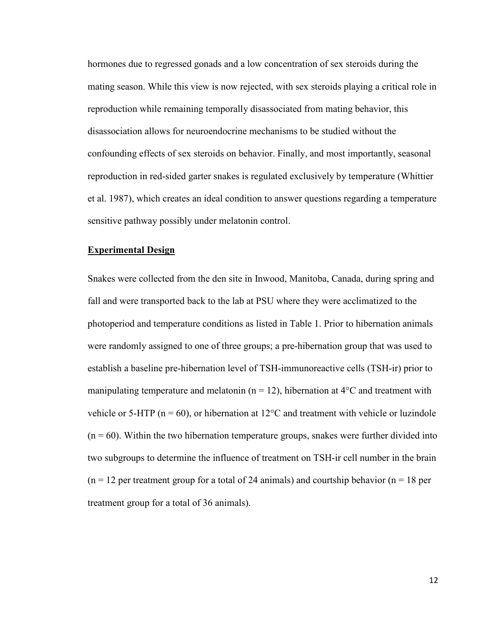hormones due to regressed gonads and a low concentration of sex steroids during the mating season. While this view is now rejected, with sex steroids playing a critical role in reproduction while remaining temporally disassociated from mating behavior, this disassociation allows for neuroendocrine mechanisms to be studied without the confounding effects of sex steroids on behavior. Finally, and most importantly, seasonal reproduction in red-sided garter snakes is regulated exclusively by temperature (Whittier et al. 1987), which creates an ideal condition to answer questions regarding a temperature sensitive pathway possibly under melatonin control.

#### **Experimental Design**

Snakes were collected from the den site in Inwood, Manitoba, Canada, during spring and fall and were transported back to the lab at PSU where they were acclimatized to the photoperiod and temperature conditions as listed in Table 1. Prior to hibernation animals were randomly assigned to one of three groups; a pre-hibernation group that was used to establish a baseline pre-hibernation level of TSH-immunoreactive cells (TSH-ir) prior to manipulating temperature and melatonin ( $n = 12$ ), hibernation at 4<sup>o</sup>C and treatment with vehicle or 5-HTP ( $n = 60$ ), or hibernation at 12 $\degree$ C and treatment with vehicle or luzindole  $(n = 60)$ . Within the two hibernation temperature groups, snakes were further divided into two subgroups to determine the influence of treatment on TSH-ir cell number in the brain  $(n = 12$  per treatment group for a total of 24 animals) and courtship behavior  $(n = 18$  per treatment group for a total of 36 animals).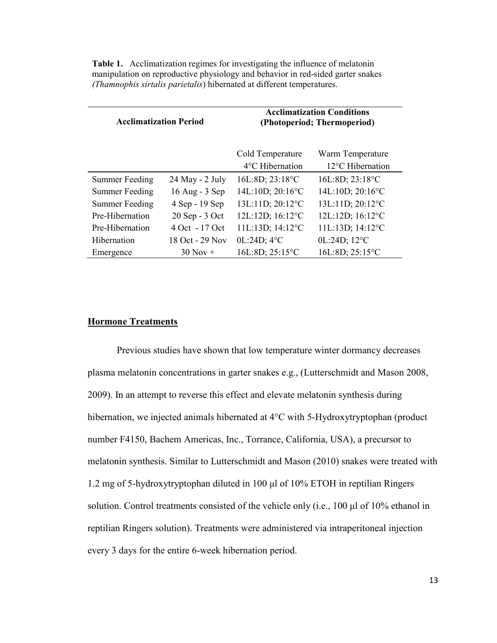| <b>Acclimatization Period</b> |                 | <b>Acclimatization Conditions</b><br>(Photoperiod; Thermoperiod) |                                      |
|-------------------------------|-----------------|------------------------------------------------------------------|--------------------------------------|
|                               |                 | Cold Temperature<br>$4^{\circ}$ C Hibernation                    | Warm Temperature<br>12°C Hibernation |
| <b>Summer Feeding</b>         | 24 May - 2 July | $16L:8D$ ; $23:18^{\circ}C$                                      | 16L:8D; 23:18°C                      |
| <b>Summer Feeding</b>         | 16 Aug - 3 Sep  | $14L:10D$ ; $20:16^{\circ}$ C                                    | 14L:10D; 20:16°C                     |
| <b>Summer Feeding</b>         | 4 Sep - 19 Sep  | 13L:11D; 20:12°C                                                 | 13L:11D; 20:12°C                     |
| Pre-Hibernation               | 20 Sep - 3 Oct  | 12L:12D; 16:12°C                                                 | 12L:12D; 16:12°C                     |
| Pre-Hibernation               | 4 Oct - 17 Oct  | 11L:13D; 14:12°C                                                 | 11L:13D; 14:12°C                     |
| <b>Hibernation</b>            | 18 Oct - 29 Nov | 0L:24D; 4°C                                                      | 0L:24D; 12°C                         |
| Emergence                     | $30$ Nov +      | 16L:8D; 25:15°C                                                  | 16L:8D; 25:15°C                      |

**Table 1.** Acclimatization regimes for investigating the influence of melatonin manipulation on reproductive physiology and behavior in red-sided garter snakes *(Thamnophis sirtalis parietalis*) hibernated at different temperatures.

#### **Hormone Treatments**

Previous studies have shown that low temperature winter dormancy decreases plasma melatonin concentrations in garter snakes e.g., (Lutterschmidt and Mason 2008, 2009). In an attempt to reverse this effect and elevate melatonin synthesis during hibernation, we injected animals hibernated at 4<sup>o</sup>C with 5-Hydroxytryptophan (product number F4150, Bachem Americas, Inc., Torrance, California, USA), a precursor to melatonin synthesis. Similar to Lutterschmidt and Mason (2010) snakes were treated with 1.2 mg of 5-hydroxytryptophan diluted in 100 μl of 10% ETOH in reptilian Ringers solution. Control treatments consisted of the vehicle only (i.e., 100 μl of 10% ethanol in reptilian Ringers solution). Treatments were administered via intraperitoneal injection every 3 days for the entire 6-week hibernation period.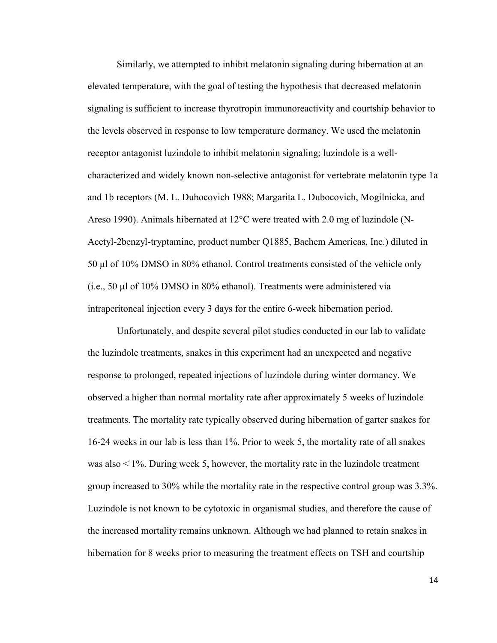Similarly, we attempted to inhibit melatonin signaling during hibernation at an elevated temperature, with the goal of testing the hypothesis that decreased melatonin signaling is sufficient to increase thyrotropin immunoreactivity and courtship behavior to the levels observed in response to low temperature dormancy. We used the melatonin receptor antagonist luzindole to inhibit melatonin signaling; luzindole is a wellcharacterized and widely known non-selective antagonist for vertebrate melatonin type 1a and 1b receptors (M. L. Dubocovich 1988; Margarita L. Dubocovich, Mogilnicka, and Areso 1990). Animals hibernated at 12°C were treated with 2.0 mg of luzindole (N-Acetyl-2benzyl-tryptamine, product number Q1885, Bachem Americas, Inc.) diluted in 50 μl of 10% DMSO in 80% ethanol. Control treatments consisted of the vehicle only (i.e., 50 μl of 10% DMSO in 80% ethanol). Treatments were administered via intraperitoneal injection every 3 days for the entire 6-week hibernation period.

Unfortunately, and despite several pilot studies conducted in our lab to validate the luzindole treatments, snakes in this experiment had an unexpected and negative response to prolonged, repeated injections of luzindole during winter dormancy. We observed a higher than normal mortality rate after approximately 5 weeks of luzindole treatments. The mortality rate typically observed during hibernation of garter snakes for 16-24 weeks in our lab is less than 1%. Prior to week 5, the mortality rate of all snakes was also < 1%. During week 5, however, the mortality rate in the luzindole treatment group increased to 30% while the mortality rate in the respective control group was 3.3%. Luzindole is not known to be cytotoxic in organismal studies, and therefore the cause of the increased mortality remains unknown. Although we had planned to retain snakes in hibernation for 8 weeks prior to measuring the treatment effects on TSH and courtship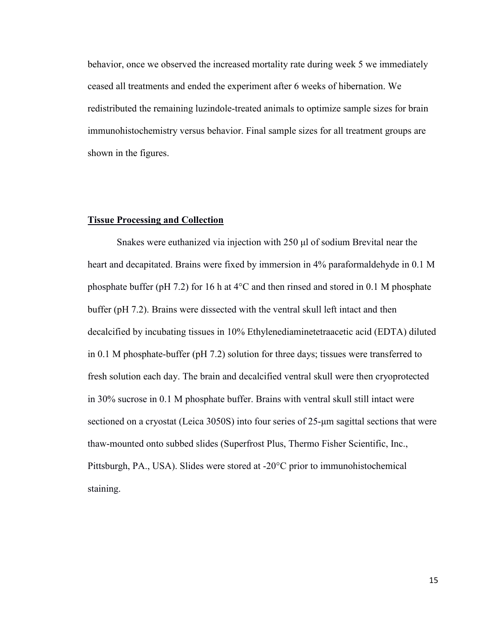behavior, once we observed the increased mortality rate during week 5 we immediately ceased all treatments and ended the experiment after 6 weeks of hibernation. We redistributed the remaining luzindole-treated animals to optimize sample sizes for brain immunohistochemistry versus behavior. Final sample sizes for all treatment groups are shown in the figures.

#### **Tissue Processing and Collection**

Snakes were euthanized via injection with 250 μl of sodium Brevital near the heart and decapitated. Brains were fixed by immersion in 4% paraformaldehyde in 0.1 M phosphate buffer (pH 7.2) for 16 h at 4°C and then rinsed and stored in 0.1 M phosphate buffer (pH 7.2). Brains were dissected with the ventral skull left intact and then decalcified by incubating tissues in 10% Ethylenediaminetetraacetic acid (EDTA) diluted in 0.1 M phosphate-buffer (pH 7.2) solution for three days; tissues were transferred to fresh solution each day. The brain and decalcified ventral skull were then cryoprotected in 30% sucrose in 0.1 M phosphate buffer. Brains with ventral skull still intact were sectioned on a cryostat (Leica 3050S) into four series of 25-μm sagittal sections that were thaw-mounted onto subbed slides (Superfrost Plus, Thermo Fisher Scientific, Inc., Pittsburgh, PA., USA). Slides were stored at -20°C prior to immunohistochemical staining.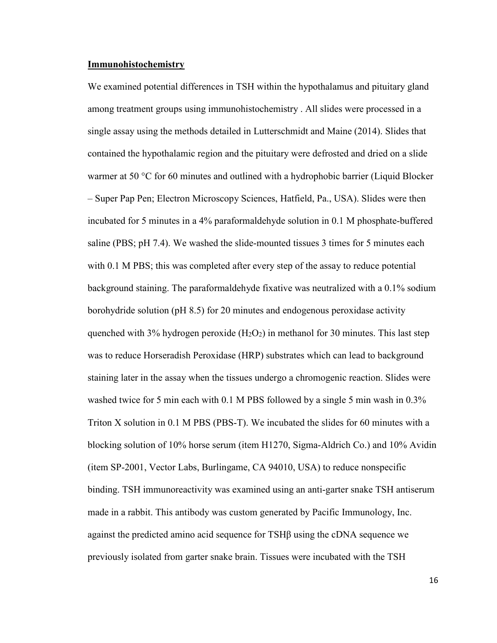#### **Immunohistochemistry**

We examined potential differences in TSH within the hypothalamus and pituitary gland among treatment groups using immunohistochemistry . All slides were processed in a single assay using the methods detailed in Lutterschmidt and Maine (2014). Slides that contained the hypothalamic region and the pituitary were defrosted and dried on a slide warmer at 50 °C for 60 minutes and outlined with a hydrophobic barrier (Liquid Blocker – Super Pap Pen; Electron Microscopy Sciences, Hatfield, Pa., USA). Slides were then incubated for 5 minutes in a 4% paraformaldehyde solution in 0.1 M phosphate-buffered saline (PBS; pH 7.4). We washed the slide-mounted tissues 3 times for 5 minutes each with 0.1 M PBS; this was completed after every step of the assay to reduce potential background staining. The paraformaldehyde fixative was neutralized with a 0.1% sodium borohydride solution (pH 8.5) for 20 minutes and endogenous peroxidase activity quenched with 3% hydrogen peroxide  $(H_2O_2)$  in methanol for 30 minutes. This last step was to reduce Horseradish Peroxidase (HRP) substrates which can lead to background staining later in the assay when the tissues undergo a chromogenic reaction. Slides were washed twice for 5 min each with 0.1 M PBS followed by a single 5 min wash in 0.3% Triton X solution in 0.1 M PBS (PBS-T). We incubated the slides for 60 minutes with a blocking solution of 10% horse serum (item H1270, Sigma-Aldrich Co.) and 10% Avidin (item SP-2001, Vector Labs, Burlingame, CA 94010, USA) to reduce nonspecific binding. TSH immunoreactivity was examined using an anti-garter snake TSH antiserum made in a rabbit. This antibody was custom generated by Pacific Immunology, Inc. against the predicted amino acid sequence for TSHβ using the cDNA sequence we previously isolated from garter snake brain. Tissues were incubated with the TSH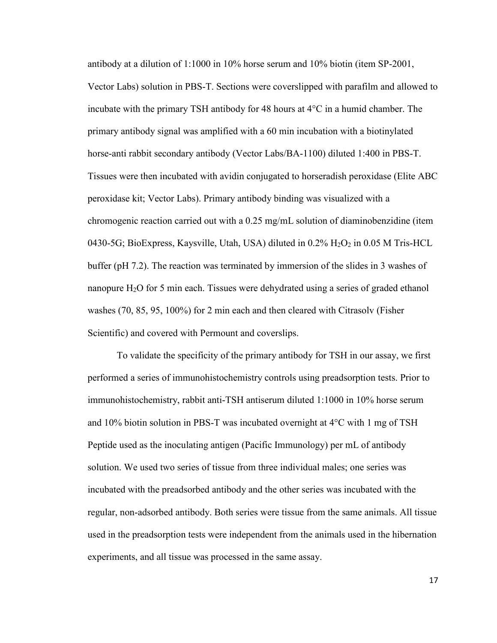antibody at a dilution of 1:1000 in 10% horse serum and 10% biotin (item SP-2001, Vector Labs) solution in PBS-T. Sections were coverslipped with parafilm and allowed to incubate with the primary TSH antibody for 48 hours at  $4^{\circ}$ C in a humid chamber. The primary antibody signal was amplified with a 60 min incubation with a biotinylated horse-anti rabbit secondary antibody (Vector Labs/BA-1100) diluted 1:400 in PBS-T. Tissues were then incubated with avidin conjugated to horseradish peroxidase (Elite ABC peroxidase kit; Vector Labs). Primary antibody binding was visualized with a chromogenic reaction carried out with a 0.25 mg/mL solution of diaminobenzidine (item 0430-5G; BioExpress, Kaysville, Utah, USA) diluted in 0.2% H2O2 in 0.05 M Tris-HCL buffer (pH 7.2). The reaction was terminated by immersion of the slides in 3 washes of nanopure H2O for 5 min each. Tissues were dehydrated using a series of graded ethanol washes (70, 85, 95, 100%) for 2 min each and then cleared with Citrasolv (Fisher Scientific) and covered with Permount and coverslips.

To validate the specificity of the primary antibody for TSH in our assay, we first performed a series of immunohistochemistry controls using preadsorption tests. Prior to immunohistochemistry, rabbit anti-TSH antiserum diluted 1:1000 in 10% horse serum and 10% biotin solution in PBS-T was incubated overnight at 4°C with 1 mg of TSH Peptide used as the inoculating antigen (Pacific Immunology) per mL of antibody solution. We used two series of tissue from three individual males; one series was incubated with the preadsorbed antibody and the other series was incubated with the regular, non-adsorbed antibody. Both series were tissue from the same animals. All tissue used in the preadsorption tests were independent from the animals used in the hibernation experiments, and all tissue was processed in the same assay.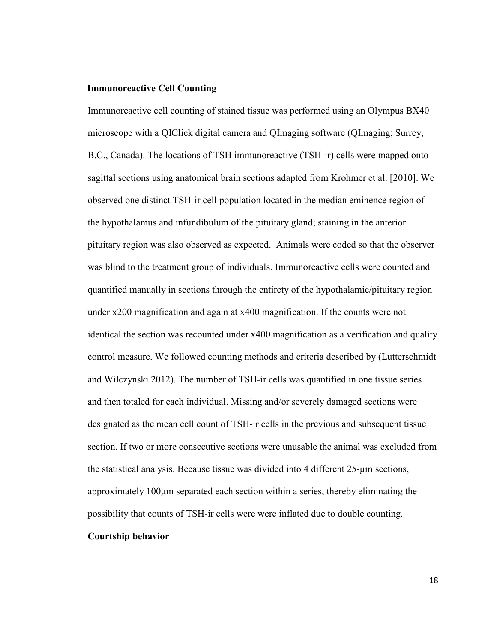#### **Immunoreactive Cell Counting**

Immunoreactive cell counting of stained tissue was performed using an Olympus BX40 microscope with a QIClick digital camera and QImaging software (QImaging; Surrey, B.C., Canada). The locations of TSH immunoreactive (TSH-ir) cells were mapped onto sagittal sections using anatomical brain sections adapted from Krohmer et al. [2010]. We observed one distinct TSH-ir cell population located in the median eminence region of the hypothalamus and infundibulum of the pituitary gland; staining in the anterior pituitary region was also observed as expected. Animals were coded so that the observer was blind to the treatment group of individuals. Immunoreactive cells were counted and quantified manually in sections through the entirety of the hypothalamic/pituitary region under x200 magnification and again at x400 magnification. If the counts were not identical the section was recounted under x400 magnification as a verification and quality control measure. We followed counting methods and criteria described by (Lutterschmidt and Wilczynski 2012). The number of TSH-ir cells was quantified in one tissue series and then totaled for each individual. Missing and/or severely damaged sections were designated as the mean cell count of TSH-ir cells in the previous and subsequent tissue section. If two or more consecutive sections were unusable the animal was excluded from the statistical analysis. Because tissue was divided into 4 different 25-μm sections, approximately 100μm separated each section within a series, thereby eliminating the possibility that counts of TSH-ir cells were were inflated due to double counting.

#### **Courtship behavior**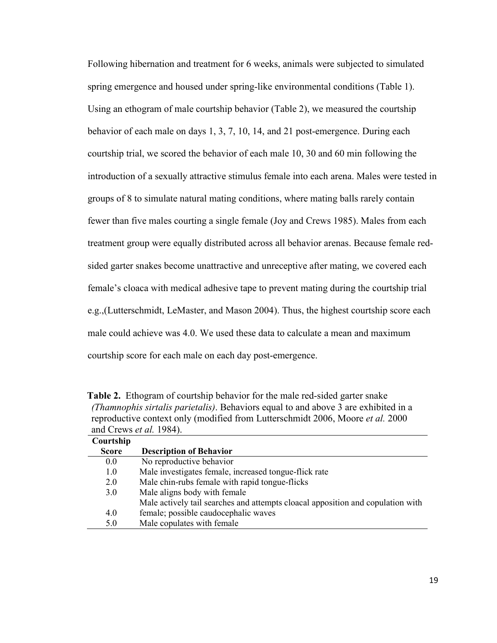Following hibernation and treatment for 6 weeks, animals were subjected to simulated spring emergence and housed under spring-like environmental conditions (Table 1). Using an ethogram of male courtship behavior (Table 2), we measured the courtship behavior of each male on days 1, 3, 7, 10, 14, and 21 post-emergence. During each courtship trial, we scored the behavior of each male 10, 30 and 60 min following the introduction of a sexually attractive stimulus female into each arena. Males were tested in groups of 8 to simulate natural mating conditions, where mating balls rarely contain fewer than five males courting a single female (Joy and Crews 1985). Males from each treatment group were equally distributed across all behavior arenas. Because female redsided garter snakes become unattractive and unreceptive after mating, we covered each female's cloaca with medical adhesive tape to prevent mating during the courtship trial e.g.,(Lutterschmidt, LeMaster, and Mason 2004). Thus, the highest courtship score each male could achieve was 4.0. We used these data to calculate a mean and maximum courtship score for each male on each day post-emergence.

| <b>Table 2.</b> Ethogram of courtship behavior for the male red-sided garter snake     |
|----------------------------------------------------------------------------------------|
| (Thamnophis sirtalis parietalis). Behaviors equal to and above 3 are exhibited in a    |
| reproductive context only (modified from Lutterschmidt 2006, Moore <i>et al.</i> 2000) |
| and Crews <i>et al.</i> 1984).                                                         |
|                                                                                        |

| Courtship    |                                                                                 |
|--------------|---------------------------------------------------------------------------------|
| <b>Score</b> | <b>Description of Behavior</b>                                                  |
| 0.0          | No reproductive behavior                                                        |
| 1.0          | Male investigates female, increased tongue-flick rate                           |
| 2.0          | Male chin-rubs female with rapid tongue-flicks                                  |
| 3.0          | Male aligns body with female                                                    |
|              | Male actively tail searches and attempts cloacal apposition and copulation with |
| 4.0          | female; possible caudocephalic waves                                            |
| 5.0          | Male copulates with female                                                      |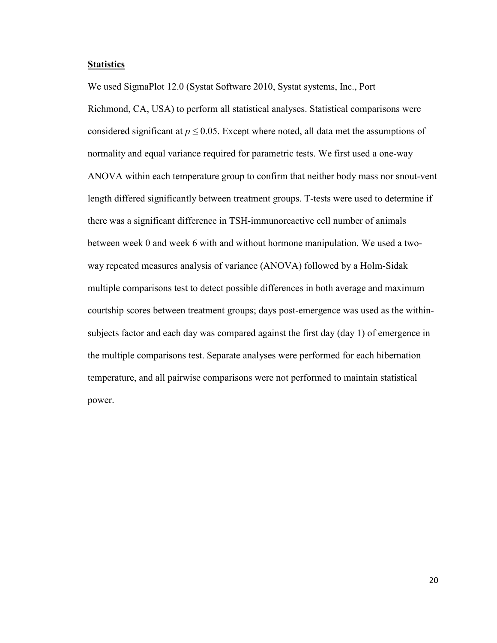#### **Statistics**

We used SigmaPlot 12.0 (Systat Software 2010, Systat systems, Inc., Port Richmond, CA, USA) to perform all statistical analyses. Statistical comparisons were considered significant at  $p \le 0.05$ . Except where noted, all data met the assumptions of normality and equal variance required for parametric tests. We first used a one-way ANOVA within each temperature group to confirm that neither body mass nor snout-vent length differed significantly between treatment groups. T-tests were used to determine if there was a significant difference in TSH-immunoreactive cell number of animals between week 0 and week 6 with and without hormone manipulation. We used a twoway repeated measures analysis of variance (ANOVA) followed by a Holm-Sidak multiple comparisons test to detect possible differences in both average and maximum courtship scores between treatment groups; days post-emergence was used as the withinsubjects factor and each day was compared against the first day (day 1) of emergence in the multiple comparisons test. Separate analyses were performed for each hibernation temperature, and all pairwise comparisons were not performed to maintain statistical power.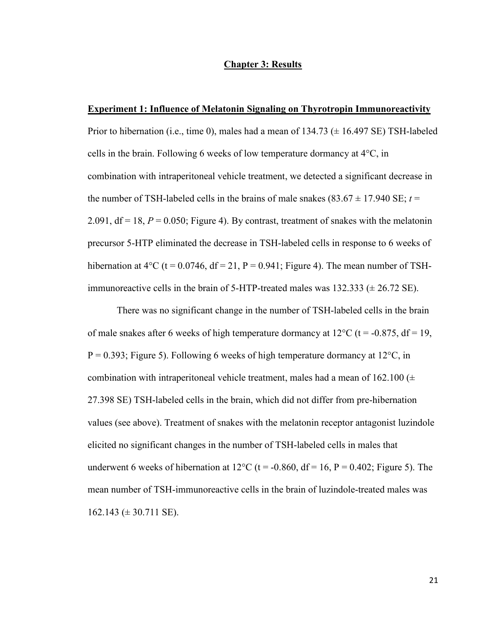#### **Chapter 3: Results**

#### **Experiment 1: Influence of Melatonin Signaling on Thyrotropin Immunoreactivity**

Prior to hibernation (i.e., time 0), males had a mean of  $134.73 \pm 16.497$  SE) TSH-labeled cells in the brain. Following 6 weeks of low temperature dormancy at 4°C, in combination with intraperitoneal vehicle treatment, we detected a significant decrease in the number of TSH-labeled cells in the brains of male snakes  $(83.67 \pm 17.940 \text{ SE}; t =$ 2.091,  $df = 18$ ,  $P = 0.050$ ; Figure 4). By contrast, treatment of snakes with the melatonin precursor 5-HTP eliminated the decrease in TSH-labeled cells in response to 6 weeks of hibernation at  $4^{\circ}$ C (t = 0.0746, df = 21, P = 0.941; Figure 4). The mean number of TSHimmunoreactive cells in the brain of 5-HTP-treated males was  $132.333 \pm 26.72$  SE).

There was no significant change in the number of TSH-labeled cells in the brain of male snakes after 6 weeks of high temperature dormancy at  $12^{\circ}$ C (t = -0.875, df = 19,  $P = 0.393$ ; Figure 5). Following 6 weeks of high temperature dormancy at 12<sup>o</sup>C, in combination with intraperitoneal vehicle treatment, males had a mean of  $162.100 (\pm 1)$ 27.398 SE) TSH-labeled cells in the brain, which did not differ from pre-hibernation values (see above). Treatment of snakes with the melatonin receptor antagonist luzindole elicited no significant changes in the number of TSH-labeled cells in males that underwent 6 weeks of hibernation at  $12^{\circ}$ C (t = -0.860, df = 16, P = 0.402; Figure 5). The mean number of TSH-immunoreactive cells in the brain of luzindole-treated males was  $162.143 \ (\pm 30.711 \ \text{SE})$ .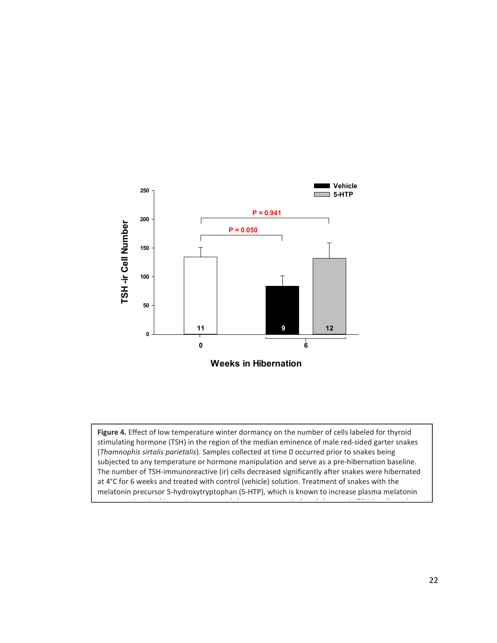

**Figure 4.** Effect of low temperature winter dormancy on the number of cells labeled for thyroid stimulating hormone (TSH) in the region of the median eminence of male red-sided garter snakes (*Thamnophis sirtalis parietalis*). Samples collected at time 0 occurred prior to snakes being subjected to any temperature or hormone manipulation and serve as a pre-hibernation baseline. The number of TSH-immunoreactive (ir) cells decreased significantly after snakes were hibernated at 4°C for 6 weeks and treated with control (vehicle) solution. Treatment of snakes with the melatonin precursor 5-hydroxytryptophan (5-HTP), which is known to increase plasma melatonin

concentrations in this species, prevented the temperature-induced changes in TSH-ir cell number.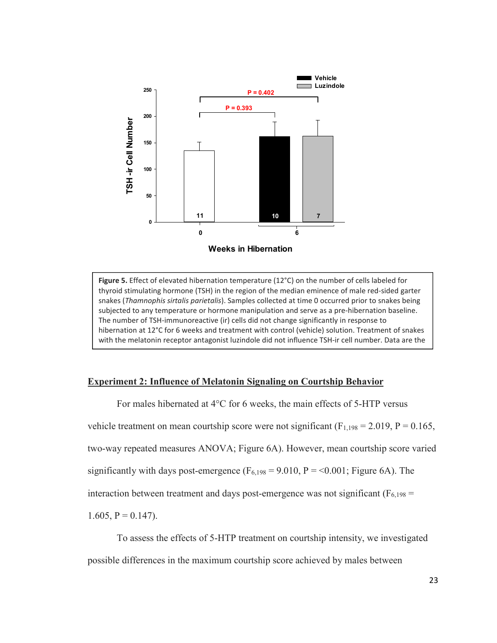

**Figure 5.** Effect of elevated hibernation temperature (12°C) on the number of cells labeled for thyroid stimulating hormone (TSH) in the region of the median eminence of male red-sided garter snakes (*Thamnophis sirtalis parietalis*). Samples collected at time 0 occurred prior to snakes being subjected to any temperature or hormone manipulation and serve as a pre-hibernation baseline. The number of TSH-immunoreactive (ir) cells did not change significantly in response to hibernation at 12°C for 6 weeks and treatment with control (vehicle) solution. Treatment of snakes with the melatonin receptor antagonist luzindole did not influence TSH-ir cell number. Data are the

#### **Experiment 2: Influence of Melatonin Signaling on Courtship Behavior**

means + 1 SE. Sample sizes are listed along the x-axis. The x-axis. The x-axis. The x-axis. The x-axis. The x-

For males hibernated at 4°C for 6 weeks, the main effects of 5-HTP versus vehicle treatment on mean courtship score were not significant ( $F_{1,198} = 2.019$ ,  $P = 0.165$ , two-way repeated measures ANOVA; Figure 6A). However, mean courtship score varied significantly with days post-emergence  $(F_{6,198} = 9.010, P = 0.001$ ; Figure 6A). The interaction between treatment and days post-emergence was not significant ( $F_{6,198}$  = 1.605,  $P = 0.147$ ).

To assess the effects of 5-HTP treatment on courtship intensity, we investigated possible differences in the maximum courtship score achieved by males between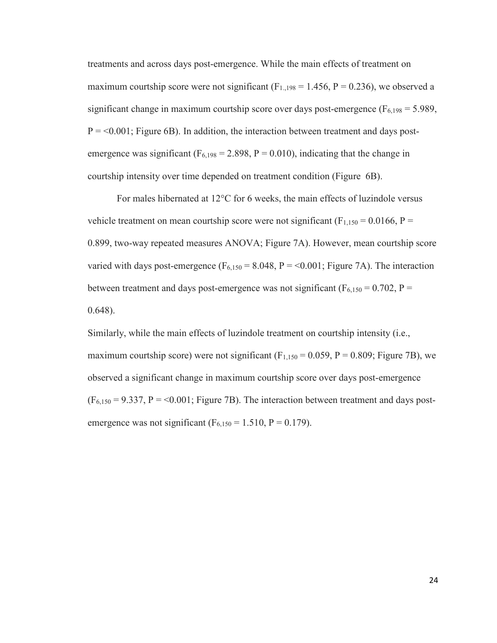treatments and across days post-emergence. While the main effects of treatment on maximum courtship score were not significant ( $F_{1,198} = 1.456$ ,  $P = 0.236$ ), we observed a significant change in maximum courtship score over days post-emergence ( $F<sub>6,198</sub> = 5.989$ ,  $P = 0.001$ ; Figure 6B). In addition, the interaction between treatment and days postemergence was significant ( $F_{6,198} = 2.898$ ,  $P = 0.010$ ), indicating that the change in courtship intensity over time depended on treatment condition (Figure 6B).

For males hibernated at 12°C for 6 weeks, the main effects of luzindole versus vehicle treatment on mean courtship score were not significant ( $F_{1,150} = 0.0166$ ,  $P =$ 0.899, two-way repeated measures ANOVA; Figure 7A). However, mean courtship score varied with days post-emergence ( $F_{6,150} = 8.048$ ,  $P = 0.001$ ; Figure 7A). The interaction between treatment and days post-emergence was not significant ( $F_{6,150} = 0.702$ ,  $P =$ 0.648).

Similarly, while the main effects of luzindole treatment on courtship intensity (i.e., maximum courtship score) were not significant  $(F_{1,150} = 0.059, P = 0.809;$  Figure 7B), we observed a significant change in maximum courtship score over days post-emergence  $(F_{6,150} = 9.337, P = 0.001$ ; Figure 7B). The interaction between treatment and days postemergence was not significant ( $F_{6,150} = 1.510$ ,  $P = 0.179$ ).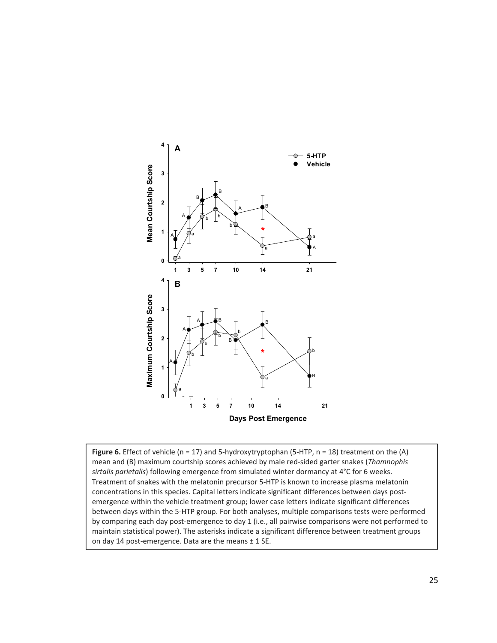

Figure 6. Effect of vehicle (n = 17) and 5-hydroxytryptophan (5-HTP, n = 18) treatment on the (A) mean and (B) maximum courtship scores achieved by male red-sided garter snakes (*Thamnophis sirtalis parietalis*) following emergence from simulated winter dormancy at 4°C for 6 weeks. Treatment of snakes with the melatonin precursor 5-HTP is known to increase plasma melatonin concentrations in this species. Capital letters indicate significant differences between days postemergence within the vehicle treatment group; lower case letters indicate significant differences between days within the 5-HTP group. For both analyses, multiple comparisons tests were performed by comparing each day post-emergence to day 1 (i.e., all pairwise comparisons were not performed to maintain statistical power). The asterisks indicate a significant difference between treatment groups on day 14 post-emergence. Data are the means  $\pm$  1 SE.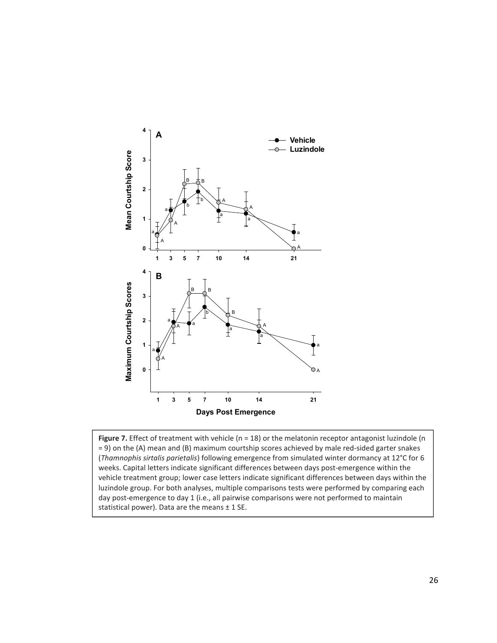

**Figure 7.** Effect of treatment with vehicle (n = 18) or the melatonin receptor antagonist luzindole (n = 9) on the (A) mean and (B) maximum courtship scores achieved by male red-sided garter snakes (*Thamnophis sirtalis parietalis*) following emergence from simulated winter dormancy at 12°C for 6 weeks. Capital letters indicate significant differences between days post-emergence within the vehicle treatment group; lower case letters indicate significant differences between days within the luzindole group. For both analyses, multiple comparisons tests were performed by comparing each day post-emergence to day 1 (i.e., all pairwise comparisons were not performed to maintain statistical power). Data are the means  $\pm$  1 SE.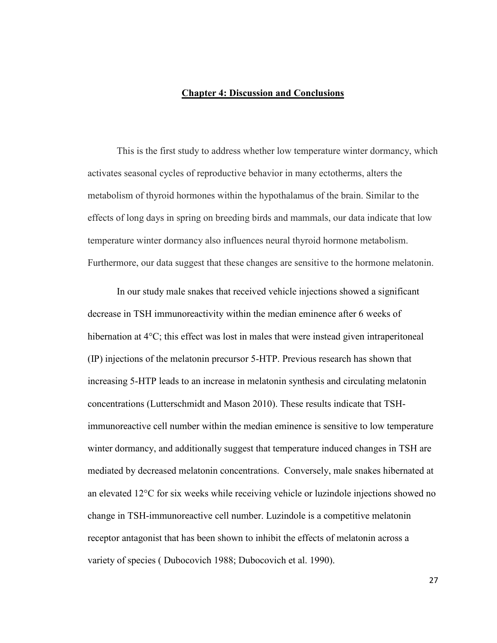#### **Chapter 4: Discussion and Conclusions**

This is the first study to address whether low temperature winter dormancy, which activates seasonal cycles of reproductive behavior in many ectotherms, alters the metabolism of thyroid hormones within the hypothalamus of the brain. Similar to the effects of long days in spring on breeding birds and mammals, our data indicate that low temperature winter dormancy also influences neural thyroid hormone metabolism. Furthermore, our data suggest that these changes are sensitive to the hormone melatonin.

In our study male snakes that received vehicle injections showed a significant decrease in TSH immunoreactivity within the median eminence after 6 weeks of hibernation at  $4^{\circ}$ C; this effect was lost in males that were instead given intraperitoneal (IP) injections of the melatonin precursor 5-HTP. Previous research has shown that increasing 5-HTP leads to an increase in melatonin synthesis and circulating melatonin concentrations (Lutterschmidt and Mason 2010). These results indicate that TSHimmunoreactive cell number within the median eminence is sensitive to low temperature winter dormancy, and additionally suggest that temperature induced changes in TSH are mediated by decreased melatonin concentrations. Conversely, male snakes hibernated at an elevated 12°C for six weeks while receiving vehicle or luzindole injections showed no change in TSH-immunoreactive cell number. Luzindole is a competitive melatonin receptor antagonist that has been shown to inhibit the effects of melatonin across a variety of species ( Dubocovich 1988; Dubocovich et al. 1990).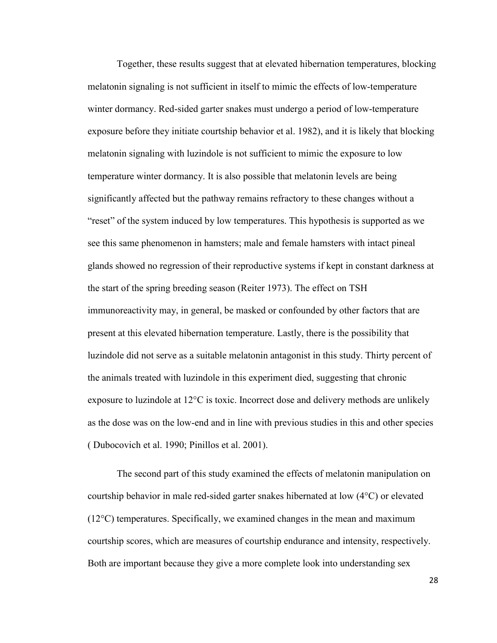Together, these results suggest that at elevated hibernation temperatures, blocking melatonin signaling is not sufficient in itself to mimic the effects of low-temperature winter dormancy. Red-sided garter snakes must undergo a period of low-temperature exposure before they initiate courtship behavior et al. 1982), and it is likely that blocking melatonin signaling with luzindole is not sufficient to mimic the exposure to low temperature winter dormancy. It is also possible that melatonin levels are being significantly affected but the pathway remains refractory to these changes without a "reset" of the system induced by low temperatures. This hypothesis is supported as we see this same phenomenon in hamsters; male and female hamsters with intact pineal glands showed no regression of their reproductive systems if kept in constant darkness at the start of the spring breeding season (Reiter 1973). The effect on TSH immunoreactivity may, in general, be masked or confounded by other factors that are present at this elevated hibernation temperature. Lastly, there is the possibility that luzindole did not serve as a suitable melatonin antagonist in this study. Thirty percent of the animals treated with luzindole in this experiment died, suggesting that chronic exposure to luzindole at 12°C is toxic. Incorrect dose and delivery methods are unlikely as the dose was on the low-end and in line with previous studies in this and other species ( Dubocovich et al. 1990; Pinillos et al. 2001).

The second part of this study examined the effects of melatonin manipulation on courtship behavior in male red-sided garter snakes hibernated at low (4°C) or elevated  $(12^{\circ}C)$  temperatures. Specifically, we examined changes in the mean and maximum courtship scores, which are measures of courtship endurance and intensity, respectively. Both are important because they give a more complete look into understanding sex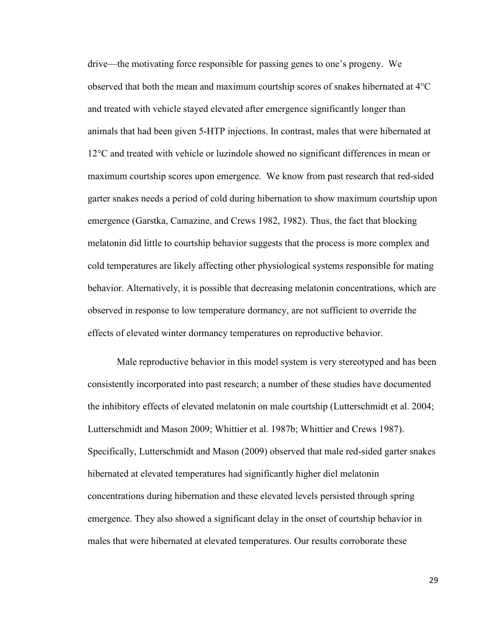drive—the motivating force responsible for passing genes to one's progeny. We observed that both the mean and maximum courtship scores of snakes hibernated at 4°C and treated with vehicle stayed elevated after emergence significantly longer than animals that had been given 5-HTP injections. In contrast, males that were hibernated at 12°C and treated with vehicle or luzindole showed no significant differences in mean or maximum courtship scores upon emergence. We know from past research that red-sided garter snakes needs a period of cold during hibernation to show maximum courtship upon emergence (Garstka, Camazine, and Crews 1982, 1982). Thus, the fact that blocking melatonin did little to courtship behavior suggests that the process is more complex and cold temperatures are likely affecting other physiological systems responsible for mating behavior. Alternatively, it is possible that decreasing melatonin concentrations, which are observed in response to low temperature dormancy, are not sufficient to override the effects of elevated winter dormancy temperatures on reproductive behavior.

Male reproductive behavior in this model system is very stereotyped and has been consistently incorporated into past research; a number of these studies have documented the inhibitory effects of elevated melatonin on male courtship (Lutterschmidt et al. 2004; Lutterschmidt and Mason 2009; Whittier et al. 1987b; Whittier and Crews 1987). Specifically, Lutterschmidt and Mason (2009) observed that male red-sided garter snakes hibernated at elevated temperatures had significantly higher diel melatonin concentrations during hibernation and these elevated levels persisted through spring emergence. They also showed a significant delay in the onset of courtship behavior in males that were hibernated at elevated temperatures. Our results corroborate these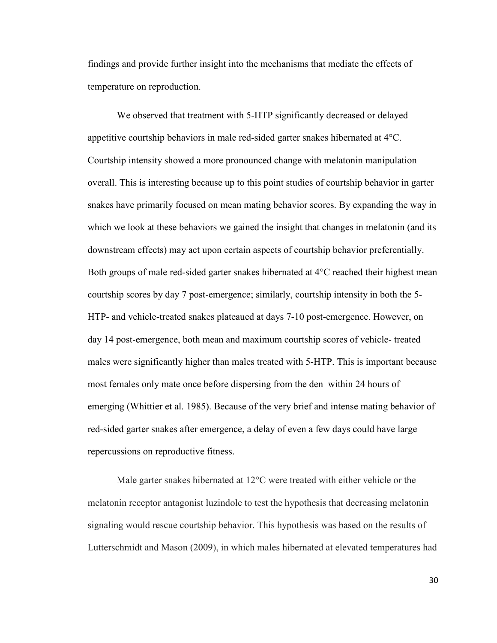findings and provide further insight into the mechanisms that mediate the effects of temperature on reproduction.

We observed that treatment with 5-HTP significantly decreased or delayed appetitive courtship behaviors in male red-sided garter snakes hibernated at 4°C. Courtship intensity showed a more pronounced change with melatonin manipulation overall. This is interesting because up to this point studies of courtship behavior in garter snakes have primarily focused on mean mating behavior scores. By expanding the way in which we look at these behaviors we gained the insight that changes in melatonin (and its downstream effects) may act upon certain aspects of courtship behavior preferentially. Both groups of male red-sided garter snakes hibernated at 4<sup>o</sup>C reached their highest mean courtship scores by day 7 post-emergence; similarly, courtship intensity in both the 5- HTP- and vehicle-treated snakes plateaued at days 7-10 post-emergence. However, on day 14 post-emergence, both mean and maximum courtship scores of vehicle- treated males were significantly higher than males treated with 5-HTP. This is important because most females only mate once before dispersing from the den within 24 hours of emerging (Whittier et al. 1985). Because of the very brief and intense mating behavior of red-sided garter snakes after emergence, a delay of even a few days could have large repercussions on reproductive fitness.

Male garter snakes hibernated at 12°C were treated with either vehicle or the melatonin receptor antagonist luzindole to test the hypothesis that decreasing melatonin signaling would rescue courtship behavior. This hypothesis was based on the results of Lutterschmidt and Mason (2009), in which males hibernated at elevated temperatures had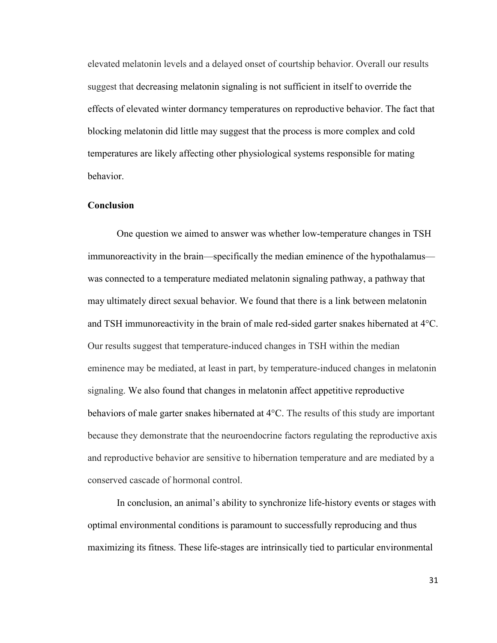elevated melatonin levels and a delayed onset of courtship behavior. Overall our results suggest that decreasing melatonin signaling is not sufficient in itself to override the effects of elevated winter dormancy temperatures on reproductive behavior. The fact that blocking melatonin did little may suggest that the process is more complex and cold temperatures are likely affecting other physiological systems responsible for mating behavior.

#### **Conclusion**

One question we aimed to answer was whether low-temperature changes in TSH immunoreactivity in the brain—specifically the median eminence of the hypothalamus was connected to a temperature mediated melatonin signaling pathway, a pathway that may ultimately direct sexual behavior. We found that there is a link between melatonin and TSH immunoreactivity in the brain of male red-sided garter snakes hibernated at 4°C. Our results suggest that temperature-induced changes in TSH within the median eminence may be mediated, at least in part, by temperature-induced changes in melatonin signaling. We also found that changes in melatonin affect appetitive reproductive behaviors of male garter snakes hibernated at 4°C. The results of this study are important because they demonstrate that the neuroendocrine factors regulating the reproductive axis and reproductive behavior are sensitive to hibernation temperature and are mediated by a conserved cascade of hormonal control.

In conclusion, an animal's ability to synchronize life-history events or stages with optimal environmental conditions is paramount to successfully reproducing and thus maximizing its fitness. These life-stages are intrinsically tied to particular environmental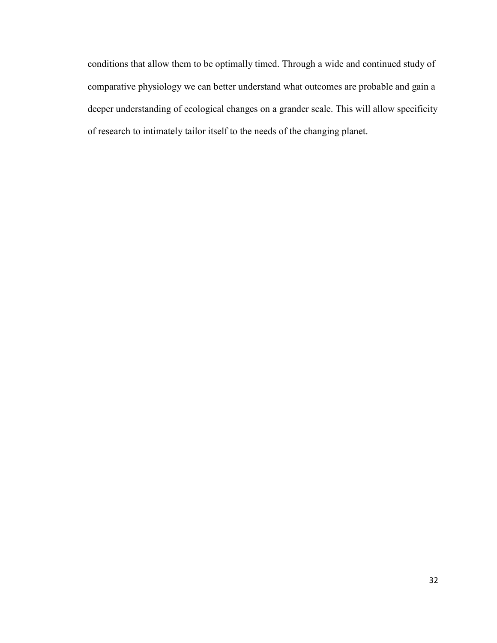conditions that allow them to be optimally timed. Through a wide and continued study of comparative physiology we can better understand what outcomes are probable and gain a deeper understanding of ecological changes on a grander scale. This will allow specificity of research to intimately tailor itself to the needs of the changing planet.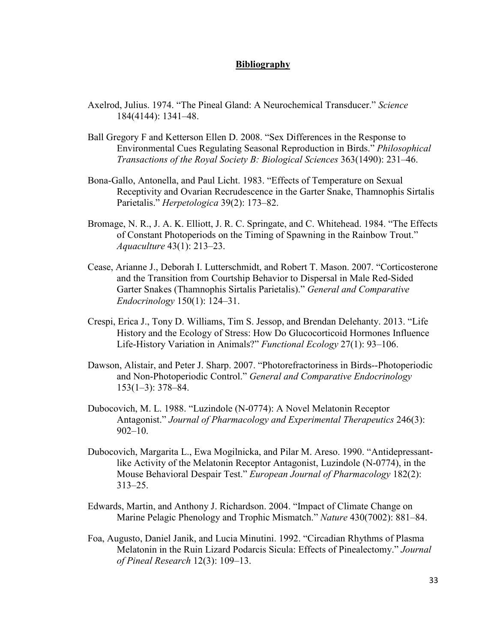#### **Bibliography**

- Axelrod, Julius. 1974. "The Pineal Gland: A Neurochemical Transducer." *Science* 184(4144): 1341–48.
- Ball Gregory F and Ketterson Ellen D. 2008. "Sex Differences in the Response to Environmental Cues Regulating Seasonal Reproduction in Birds." *Philosophical Transactions of the Royal Society B: Biological Sciences* 363(1490): 231–46.
- Bona-Gallo, Antonella, and Paul Licht. 1983. "Effects of Temperature on Sexual Receptivity and Ovarian Recrudescence in the Garter Snake, Thamnophis Sirtalis Parietalis." *Herpetologica* 39(2): 173–82.
- Bromage, N. R., J. A. K. Elliott, J. R. C. Springate, and C. Whitehead. 1984. "The Effects of Constant Photoperiods on the Timing of Spawning in the Rainbow Trout." *Aquaculture* 43(1): 213–23.
- Cease, Arianne J., Deborah I. Lutterschmidt, and Robert T. Mason. 2007. "Corticosterone and the Transition from Courtship Behavior to Dispersal in Male Red-Sided Garter Snakes (Thamnophis Sirtalis Parietalis)." *General and Comparative Endocrinology* 150(1): 124–31.
- Crespi, Erica J., Tony D. Williams, Tim S. Jessop, and Brendan Delehanty. 2013. "Life History and the Ecology of Stress: How Do Glucocorticoid Hormones Influence Life-History Variation in Animals?" *Functional Ecology* 27(1): 93–106.
- Dawson, Alistair, and Peter J. Sharp. 2007. "Photorefractoriness in Birds--Photoperiodic and Non-Photoperiodic Control." *General and Comparative Endocrinology* 153(1–3): 378–84.
- Dubocovich, M. L. 1988. "Luzindole (N-0774): A Novel Melatonin Receptor Antagonist." *Journal of Pharmacology and Experimental Therapeutics* 246(3): 902–10.
- Dubocovich, Margarita L., Ewa Mogilnicka, and Pilar M. Areso. 1990. "Antidepressantlike Activity of the Melatonin Receptor Antagonist, Luzindole (N-0774), in the Mouse Behavioral Despair Test." *European Journal of Pharmacology* 182(2): 313–25.
- Edwards, Martin, and Anthony J. Richardson. 2004. "Impact of Climate Change on Marine Pelagic Phenology and Trophic Mismatch." *Nature* 430(7002): 881–84.
- Foa, Augusto, Daniel Janik, and Lucia Minutini. 1992. "Circadian Rhythms of Plasma Melatonin in the Ruin Lizard Podarcis Sicula: Effects of Pinealectomy." *Journal of Pineal Research* 12(3): 109–13.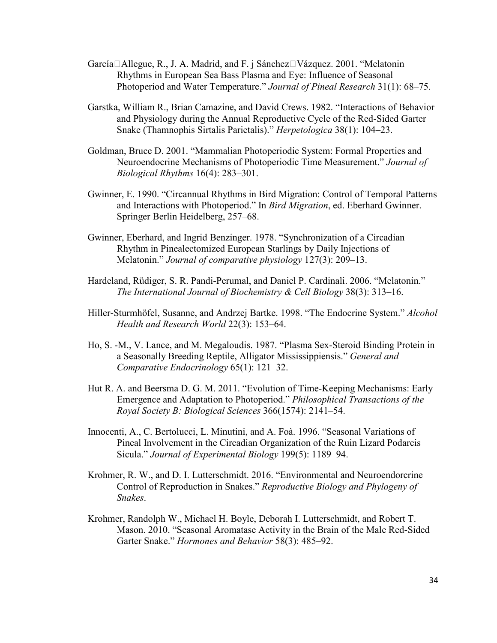- García  $\Box$  Allegue, R., J. A. Madrid, and F. j Sánchez $\Box$ Vázquez. 2001. "Melatonin Rhythms in European Sea Bass Plasma and Eye: Influence of Seasonal Photoperiod and Water Temperature." *Journal of Pineal Research* 31(1): 68–75.
- Garstka, William R., Brian Camazine, and David Crews. 1982. "Interactions of Behavior and Physiology during the Annual Reproductive Cycle of the Red-Sided Garter Snake (Thamnophis Sirtalis Parietalis)." *Herpetologica* 38(1): 104–23.
- Goldman, Bruce D. 2001. "Mammalian Photoperiodic System: Formal Properties and Neuroendocrine Mechanisms of Photoperiodic Time Measurement." *Journal of Biological Rhythms* 16(4): 283–301.
- Gwinner, E. 1990. "Circannual Rhythms in Bird Migration: Control of Temporal Patterns and Interactions with Photoperiod." In *Bird Migration*, ed. Eberhard Gwinner. Springer Berlin Heidelberg, 257–68.
- Gwinner, Eberhard, and Ingrid Benzinger. 1978. "Synchronization of a Circadian Rhythm in Pinealectomized European Starlings by Daily Injections of Melatonin." *Journal of comparative physiology* 127(3): 209–13.
- Hardeland, Rüdiger, S. R. Pandi-Perumal, and Daniel P. Cardinali. 2006. "Melatonin." *The International Journal of Biochemistry & Cell Biology* 38(3): 313–16.
- Hiller-Sturmhöfel, Susanne, and Andrzej Bartke. 1998. "The Endocrine System." *Alcohol Health and Research World* 22(3): 153–64.
- Ho, S. -M., V. Lance, and M. Megaloudis. 1987. "Plasma Sex-Steroid Binding Protein in a Seasonally Breeding Reptile, Alligator Mississippiensis." *General and Comparative Endocrinology* 65(1): 121–32.
- Hut R. A. and Beersma D. G. M. 2011. "Evolution of Time-Keeping Mechanisms: Early Emergence and Adaptation to Photoperiod." *Philosophical Transactions of the Royal Society B: Biological Sciences* 366(1574): 2141–54.
- Innocenti, A., C. Bertolucci, L. Minutini, and A. Foà. 1996. "Seasonal Variations of Pineal Involvement in the Circadian Organization of the Ruin Lizard Podarcis Sicula." *Journal of Experimental Biology* 199(5): 1189–94.
- Krohmer, R. W., and D. I. Lutterschmidt. 2016. "Environmental and Neuroendorcrine Control of Reproduction in Snakes." *Reproductive Biology and Phylogeny of Snakes*.
- Krohmer, Randolph W., Michael H. Boyle, Deborah I. Lutterschmidt, and Robert T. Mason. 2010. "Seasonal Aromatase Activity in the Brain of the Male Red-Sided Garter Snake." *Hormones and Behavior* 58(3): 485–92.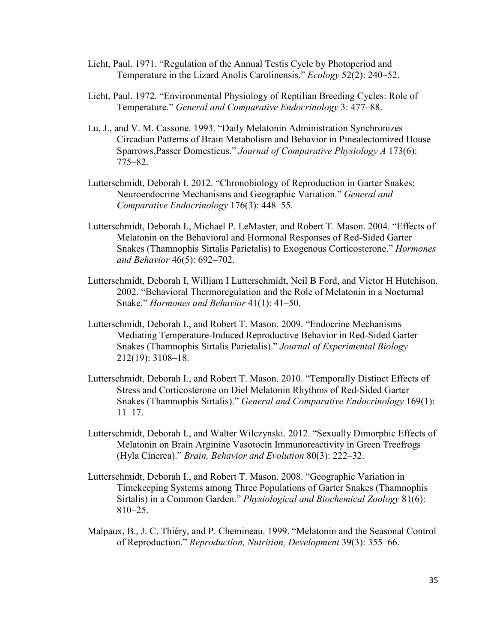- Licht, Paul. 1971. "Regulation of the Annual Testis Cycle by Photoperiod and Temperature in the Lizard Anolis Carolinensis." *Ecology* 52(2): 240–52.
- Licht, Paul. 1972. "Environmental Physiology of Reptilian Breeding Cycles: Role of Temperature." *General and Comparative Endocrinology* 3: 477–88.
- Lu, J., and V. M. Cassone. 1993. "Daily Melatonin Administration Synchronizes Circadian Patterns of Brain Metabolism and Behavior in Pinealectomized House Sparrows,Passer Domesticus." *Journal of Comparative Physiology A* 173(6): 775–82.
- Lutterschmidt, Deborah I. 2012. "Chronobiology of Reproduction in Garter Snakes: Neuroendocrine Mechanisms and Geographic Variation." *General and Comparative Endocrinology* 176(3): 448–55.
- Lutterschmidt, Deborah I., Michael P. LeMaster, and Robert T. Mason. 2004. "Effects of Melatonin on the Behavioral and Hormonal Responses of Red-Sided Garter Snakes (Thamnophis Sirtalis Parietalis) to Exogenous Corticosterone." *Hormones and Behavior* 46(5): 692–702.
- Lutterschmidt, Deborah I, William I Lutterschmidt, Neil B Ford, and Victor H Hutchison. 2002. "Behavioral Thermoregulation and the Role of Melatonin in a Nocturnal Snake." *Hormones and Behavior* 41(1): 41–50.
- Lutterschmidt, Deborah I., and Robert T. Mason. 2009. "Endocrine Mechanisms Mediating Temperature-Induced Reproductive Behavior in Red-Sided Garter Snakes (Thamnophis Sirtalis Parietalis)." *Journal of Experimental Biology* 212(19): 3108–18.
- Lutterschmidt, Deborah I., and Robert T. Mason. 2010. "Temporally Distinct Effects of Stress and Corticosterone on Diel Melatonin Rhythms of Red-Sided Garter Snakes (Thamnophis Sirtalis)." *General and Comparative Endocrinology* 169(1): 11–17.
- Lutterschmidt, Deborah I., and Walter Wilczynski. 2012. "Sexually Dimorphic Effects of Melatonin on Brain Arginine Vasotocin Immunoreactivity in Green Treefrogs (Hyla Cinerea)." *Brain, Behavior and Evolution* 80(3): 222–32.
- Lutterschmidt, Deborah I., and Robert T. Mason. 2008. "Geographic Variation in Timekeeping Systems among Three Populations of Garter Snakes (Thamnophis Sirtalis) in a Common Garden." *Physiological and Biochemical Zoology* 81(6): 810–25.
- Malpaux, B., J. C. Thiéry, and P. Chemineau. 1999. "Melatonin and the Seasonal Control of Reproduction." *Reproduction, Nutrition, Development* 39(3): 355–66.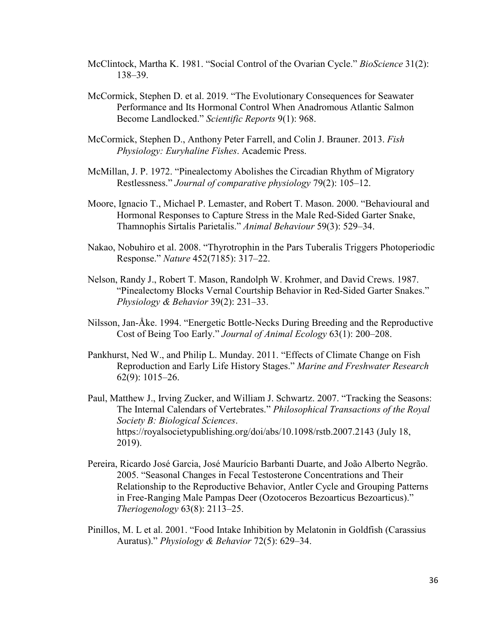- McClintock, Martha K. 1981. "Social Control of the Ovarian Cycle." *BioScience* 31(2): 138–39.
- McCormick, Stephen D. et al. 2019. "The Evolutionary Consequences for Seawater Performance and Its Hormonal Control When Anadromous Atlantic Salmon Become Landlocked." *Scientific Reports* 9(1): 968.
- McCormick, Stephen D., Anthony Peter Farrell, and Colin J. Brauner. 2013. *Fish Physiology: Euryhaline Fishes*. Academic Press.
- McMillan, J. P. 1972. "Pinealectomy Abolishes the Circadian Rhythm of Migratory Restlessness." *Journal of comparative physiology* 79(2): 105–12.
- Moore, Ignacio T., Michael P. Lemaster, and Robert T. Mason. 2000. "Behavioural and Hormonal Responses to Capture Stress in the Male Red-Sided Garter Snake, Thamnophis Sirtalis Parietalis." *Animal Behaviour* 59(3): 529–34.
- Nakao, Nobuhiro et al. 2008. "Thyrotrophin in the Pars Tuberalis Triggers Photoperiodic Response." *Nature* 452(7185): 317–22.
- Nelson, Randy J., Robert T. Mason, Randolph W. Krohmer, and David Crews. 1987. "Pinealectomy Blocks Vernal Courtship Behavior in Red-Sided Garter Snakes." *Physiology & Behavior* 39(2): 231–33.
- Nilsson, Jan-Åke. 1994. "Energetic Bottle-Necks During Breeding and the Reproductive Cost of Being Too Early." *Journal of Animal Ecology* 63(1): 200–208.
- Pankhurst, Ned W., and Philip L. Munday. 2011. "Effects of Climate Change on Fish Reproduction and Early Life History Stages." *Marine and Freshwater Research* 62(9): 1015–26.
- Paul, Matthew J., Irving Zucker, and William J. Schwartz. 2007. "Tracking the Seasons: The Internal Calendars of Vertebrates." *Philosophical Transactions of the Royal Society B: Biological Sciences*. https://royalsocietypublishing.org/doi/abs/10.1098/rstb.2007.2143 (July 18, 2019).
- Pereira, Ricardo José Garcia, José Maurício Barbanti Duarte, and João Alberto Negrão. 2005. "Seasonal Changes in Fecal Testosterone Concentrations and Their Relationship to the Reproductive Behavior, Antler Cycle and Grouping Patterns in Free-Ranging Male Pampas Deer (Ozotoceros Bezoarticus Bezoarticus)." *Theriogenology* 63(8): 2113–25.
- Pinillos, M. L et al. 2001. "Food Intake Inhibition by Melatonin in Goldfish (Carassius Auratus)." *Physiology & Behavior* 72(5): 629–34.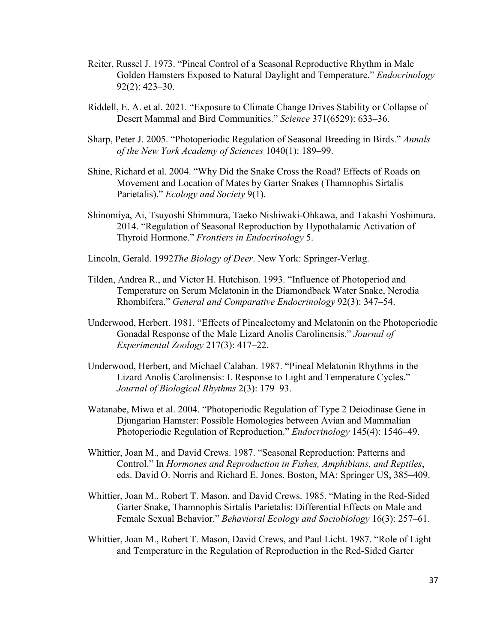- Reiter, Russel J. 1973. "Pineal Control of a Seasonal Reproductive Rhythm in Male Golden Hamsters Exposed to Natural Daylight and Temperature." *Endocrinology* 92(2): 423–30.
- Riddell, E. A. et al. 2021. "Exposure to Climate Change Drives Stability or Collapse of Desert Mammal and Bird Communities." *Science* 371(6529): 633–36.
- Sharp, Peter J. 2005. "Photoperiodic Regulation of Seasonal Breeding in Birds." *Annals of the New York Academy of Sciences* 1040(1): 189–99.
- Shine, Richard et al. 2004. "Why Did the Snake Cross the Road? Effects of Roads on Movement and Location of Mates by Garter Snakes (Thamnophis Sirtalis Parietalis)." *Ecology and Society* 9(1).
- Shinomiya, Ai, Tsuyoshi Shimmura, Taeko Nishiwaki-Ohkawa, and Takashi Yoshimura. 2014. "Regulation of Seasonal Reproduction by Hypothalamic Activation of Thyroid Hormone." *Frontiers in Endocrinology* 5.
- Lincoln, Gerald. 1992*The Biology of Deer*. New York: Springer-Verlag.
- Tilden, Andrea R., and Victor H. Hutchison. 1993. "Influence of Photoperiod and Temperature on Serum Melatonin in the Diamondback Water Snake, Nerodia Rhombifera." *General and Comparative Endocrinology* 92(3): 347–54.
- Underwood, Herbert. 1981. "Effects of Pinealectomy and Melatonin on the Photoperiodic Gonadal Response of the Male Lizard Anolis Carolinensis." *Journal of Experimental Zoology* 217(3): 417–22.
- Underwood, Herbert, and Michael Calaban. 1987. "Pineal Melatonin Rhythms in the Lizard Anolis Carolinensis: I. Response to Light and Temperature Cycles." *Journal of Biological Rhythms* 2(3): 179–93.
- Watanabe, Miwa et al. 2004. "Photoperiodic Regulation of Type 2 Deiodinase Gene in Djungarian Hamster: Possible Homologies between Avian and Mammalian Photoperiodic Regulation of Reproduction." *Endocrinology* 145(4): 1546–49.
- Whittier, Joan M., and David Crews. 1987. "Seasonal Reproduction: Patterns and Control." In *Hormones and Reproduction in Fishes, Amphibians, and Reptiles*, eds. David O. Norris and Richard E. Jones. Boston, MA: Springer US, 385–409.
- Whittier, Joan M., Robert T. Mason, and David Crews. 1985. "Mating in the Red-Sided Garter Snake, Thamnophis Sirtalis Parietalis: Differential Effects on Male and Female Sexual Behavior." *Behavioral Ecology and Sociobiology* 16(3): 257–61.
- Whittier, Joan M., Robert T. Mason, David Crews, and Paul Licht. 1987. "Role of Light and Temperature in the Regulation of Reproduction in the Red-Sided Garter